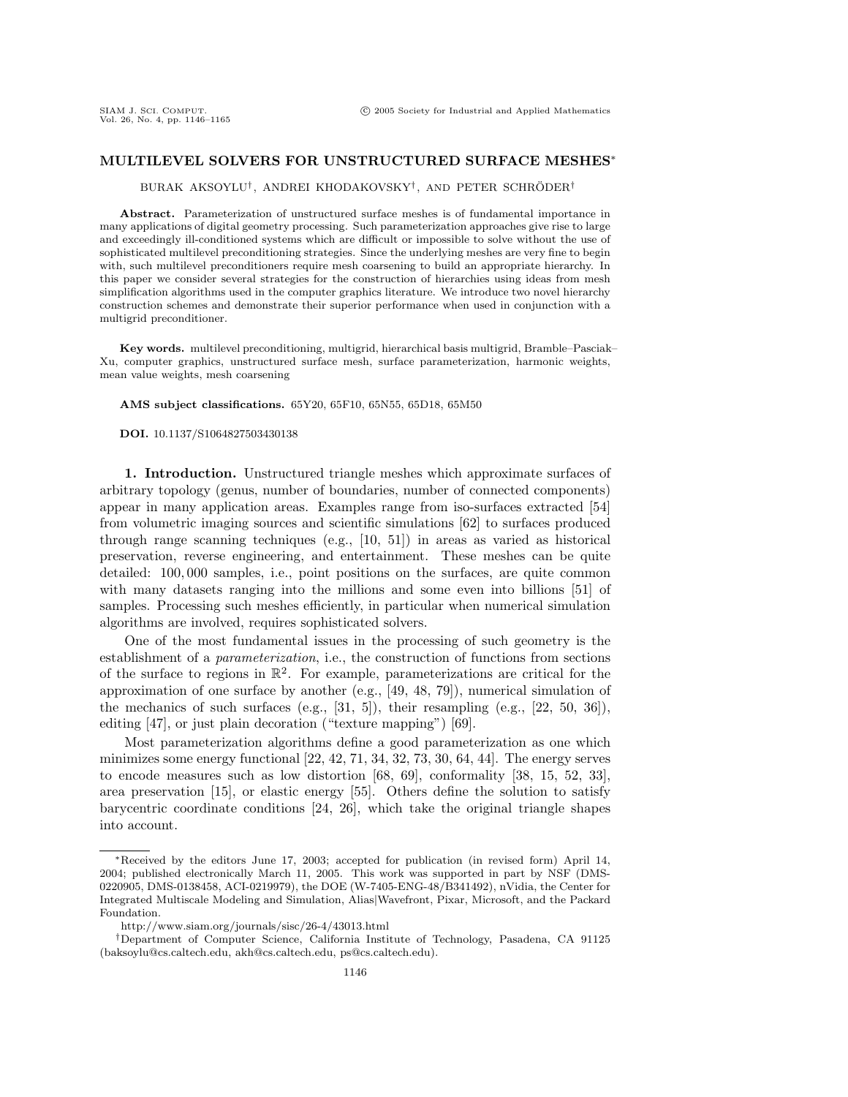## **MULTILEVEL SOLVERS FOR UNSTRUCTURED SURFACE MESHES**∗

## BURAK AKSOYLU<sup>†</sup>, ANDREI KHODAKOVSKY<sup>†</sup>, AND PETER SCHRÖDER<sup>†</sup>

**Abstract.** Parameterization of unstructured surface meshes is of fundamental importance in many applications of digital geometry processing. Such parameterization approaches give rise to large and exceedingly ill-conditioned systems which are difficult or impossible to solve without the use of sophisticated multilevel preconditioning strategies. Since the underlying meshes are very fine to begin with, such multilevel preconditioners require mesh coarsening to build an appropriate hierarchy. In this paper we consider several strategies for the construction of hierarchies using ideas from mesh simplification algorithms used in the computer graphics literature. We introduce two novel hierarchy construction schemes and demonstrate their superior performance when used in conjunction with a multigrid preconditioner.

**Key words.** multilevel preconditioning, multigrid, hierarchical basis multigrid, Bramble–Pasciak– Xu, computer graphics, unstructured surface mesh, surface parameterization, harmonic weights, mean value weights, mesh coarsening

**AMS subject classifications.** 65Y20, 65F10, 65N55, 65D18, 65M50

**DOI.** 10.1137/S1064827503430138

**1. Introduction.** Unstructured triangle meshes which approximate surfaces of arbitrary topology (genus, number of boundaries, number of connected components) appear in many application areas. Examples range from iso-surfaces extracted [54] from volumetric imaging sources and scientific simulations [62] to surfaces produced through range scanning techniques (e.g., [10, 51]) in areas as varied as historical preservation, reverse engineering, and entertainment. These meshes can be quite detailed: 100, 000 samples, i.e., point positions on the surfaces, are quite common with many datasets ranging into the millions and some even into billions [51] of samples. Processing such meshes efficiently, in particular when numerical simulation algorithms are involved, requires sophisticated solvers.

One of the most fundamental issues in the processing of such geometry is the establishment of a parameterization, i.e., the construction of functions from sections of the surface to regions in  $\mathbb{R}^2$ . For example, parameterizations are critical for the approximation of one surface by another (e.g., [49, 48, 79]), numerical simulation of the mechanics of such surfaces (e.g.,  $[31, 5]$ ), their resampling (e.g.,  $[22, 50, 36]$ ), editing [47], or just plain decoration ("texture mapping") [69].

Most parameterization algorithms define a good parameterization as one which minimizes some energy functional  $[22, 42, 71, 34, 32, 73, 30, 64, 44]$ . The energy serves to encode measures such as low distortion [68, 69], conformality [38, 15, 52, 33], area preservation [15], or elastic energy [55]. Others define the solution to satisfy barycentric coordinate conditions [24, 26], which take the original triangle shapes into account.

<sup>∗</sup>Received by the editors June 17, 2003; accepted for publication (in revised form) April 14, 2004; published electronically March 11, 2005. This work was supported in part by NSF (DMS-0220905, DMS-0138458, ACI-0219979), the DOE (W-7405-ENG-48/B341492), nVidia, the Center for Integrated Multiscale Modeling and Simulation, Alias|Wavefront, Pixar, Microsoft, and the Packard Foundation.

http://www.siam.org/journals/sisc/26-4/43013.html

<sup>†</sup>Department of Computer Science, California Institute of Technology, Pasadena, CA 91125 (baksoylu@cs.caltech.edu, akh@cs.caltech.edu, ps@cs.caltech.edu).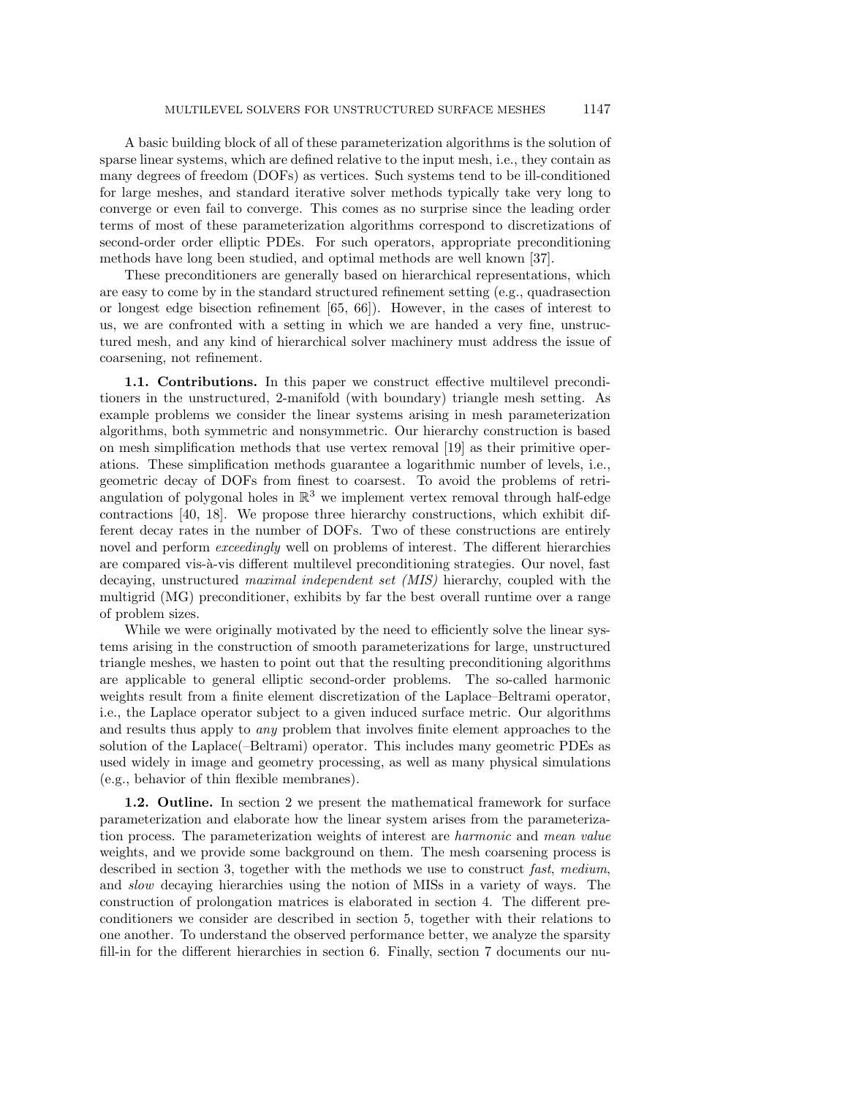A basic building block of all of these parameterization algorithms is the solution of sparse linear systems, which are defined relative to the input mesh, i.e., they contain as many degrees of freedom (DOFs) as vertices. Such systems tend to be ill-conditioned for large meshes, and standard iterative solver methods typically take very long to converge or even fail to converge. This comes as no surprise since the leading order terms of most of these parameterization algorithms correspond to discretizations of second-order order elliptic PDEs. For such operators, appropriate preconditioning methods have long been studied, and optimal methods are well known [37].

These preconditioners are generally based on hierarchical representations, which are easy to come by in the standard structured refinement setting (e.g., quadrasection or longest edge bisection refinement [65, 66]). However, in the cases of interest to us, we are confronted with a setting in which we are handed a very fine, unstructured mesh, and any kind of hierarchical solver machinery must address the issue of coarsening, not refinement.

**1.1. Contributions.** In this paper we construct effective multilevel preconditioners in the unstructured, 2-manifold (with boundary) triangle mesh setting. As example problems we consider the linear systems arising in mesh parameterization algorithms, both symmetric and nonsymmetric. Our hierarchy construction is based on mesh simplification methods that use vertex removal [19] as their primitive operations. These simplification methods guarantee a logarithmic number of levels, i.e., geometric decay of DOFs from finest to coarsest. To avoid the problems of retriangulation of polygonal holes in  $\mathbb{R}^3$  we implement vertex removal through half-edge contractions [40, 18]. We propose three hierarchy constructions, which exhibit different decay rates in the number of DOFs. Two of these constructions are entirely novel and perform *exceedingly* well on problems of interest. The different hierarchies are compared vis-à-vis different multilevel preconditioning strategies. Our novel, fast decaying, unstructured maximal independent set (MIS) hierarchy, coupled with the multigrid (MG) preconditioner, exhibits by far the best overall runtime over a range of problem sizes.

While we were originally motivated by the need to efficiently solve the linear systems arising in the construction of smooth parameterizations for large, unstructured triangle meshes, we hasten to point out that the resulting preconditioning algorithms are applicable to general elliptic second-order problems. The so-called harmonic weights result from a finite element discretization of the Laplace–Beltrami operator, i.e., the Laplace operator subject to a given induced surface metric. Our algorithms and results thus apply to any problem that involves finite element approaches to the solution of the Laplace(–Beltrami) operator. This includes many geometric PDEs as used widely in image and geometry processing, as well as many physical simulations (e.g., behavior of thin flexible membranes).

**1.2. Outline.** In section 2 we present the mathematical framework for surface parameterization and elaborate how the linear system arises from the parameterization process. The parameterization weights of interest are harmonic and mean value weights, and we provide some background on them. The mesh coarsening process is described in section 3, together with the methods we use to construct fast, medium, and slow decaying hierarchies using the notion of MISs in a variety of ways. The construction of prolongation matrices is elaborated in section 4. The different preconditioners we consider are described in section 5, together with their relations to one another. To understand the observed performance better, we analyze the sparsity fill-in for the different hierarchies in section 6. Finally, section 7 documents our nu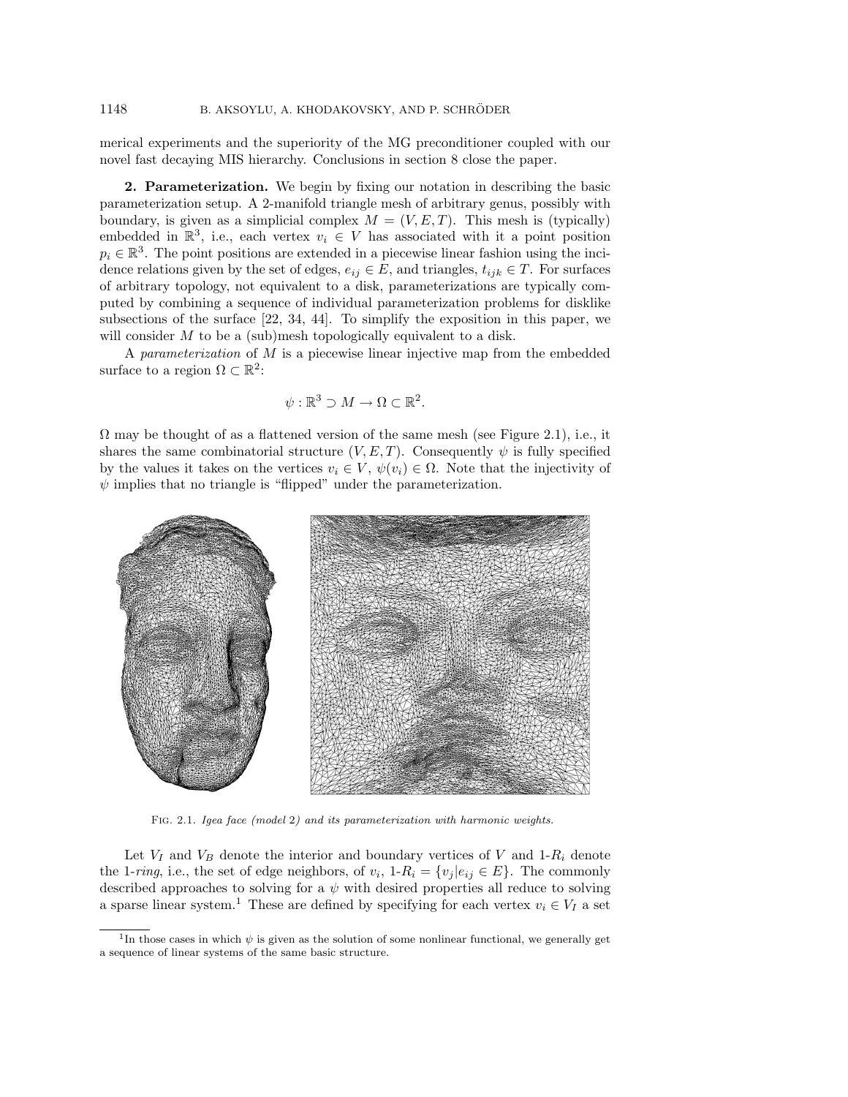merical experiments and the superiority of the MG preconditioner coupled with our novel fast decaying MIS hierarchy. Conclusions in section 8 close the paper.

**2. Parameterization.** We begin by fixing our notation in describing the basic parameterization setup. A 2-manifold triangle mesh of arbitrary genus, possibly with boundary, is given as a simplicial complex  $M = (V, E, T)$ . This mesh is (typically) embedded in  $\mathbb{R}^3$ , i.e., each vertex  $v_i \in V$  has associated with it a point position  $p_i \in \mathbb{R}^3$ . The point positions are extended in a piecewise linear fashion using the incidence relations given by the set of edges,  $e_{ij} \in E$ , and triangles,  $t_{ijk} \in T$ . For surfaces of arbitrary topology, not equivalent to a disk, parameterizations are typically computed by combining a sequence of individual parameterization problems for disklike subsections of the surface [22, 34, 44]. To simplify the exposition in this paper, we will consider M to be a (sub)mesh topologically equivalent to a disk.

A parameterization of M is a piecewise linear injective map from the embedded surface to a region  $\Omega \subset \mathbb{R}^2$ :

$$
\psi: \mathbb{R}^3 \supset M \to \Omega \subset \mathbb{R}^2.
$$

 $\Omega$  may be thought of as a flattened version of the same mesh (see Figure 2.1), i.e., it shares the same combinatorial structure  $(V, E, T)$ . Consequently  $\psi$  is fully specified by the values it takes on the vertices  $v_i \in V$ ,  $\psi(v_i) \in \Omega$ . Note that the injectivity of  $\psi$  implies that no triangle is "flipped" under the parameterization.



Fig. 2.1. Igea face (model 2) and its parameterization with harmonic weights.

Let  $V_I$  and  $V_B$  denote the interior and boundary vertices of V and 1- $R_i$  denote the 1-ring, i.e., the set of edge neighbors, of  $v_i$ , 1- $R_i = \{v_j | e_{ij} \in E\}$ . The commonly described approaches to solving for a  $\psi$  with desired properties all reduce to solving a sparse linear system.<sup>1</sup> These are defined by specifying for each vertex  $v_i \in V_I$  a set

<sup>&</sup>lt;sup>1</sup>In those cases in which  $\psi$  is given as the solution of some nonlinear functional, we generally get a sequence of linear systems of the same basic structure.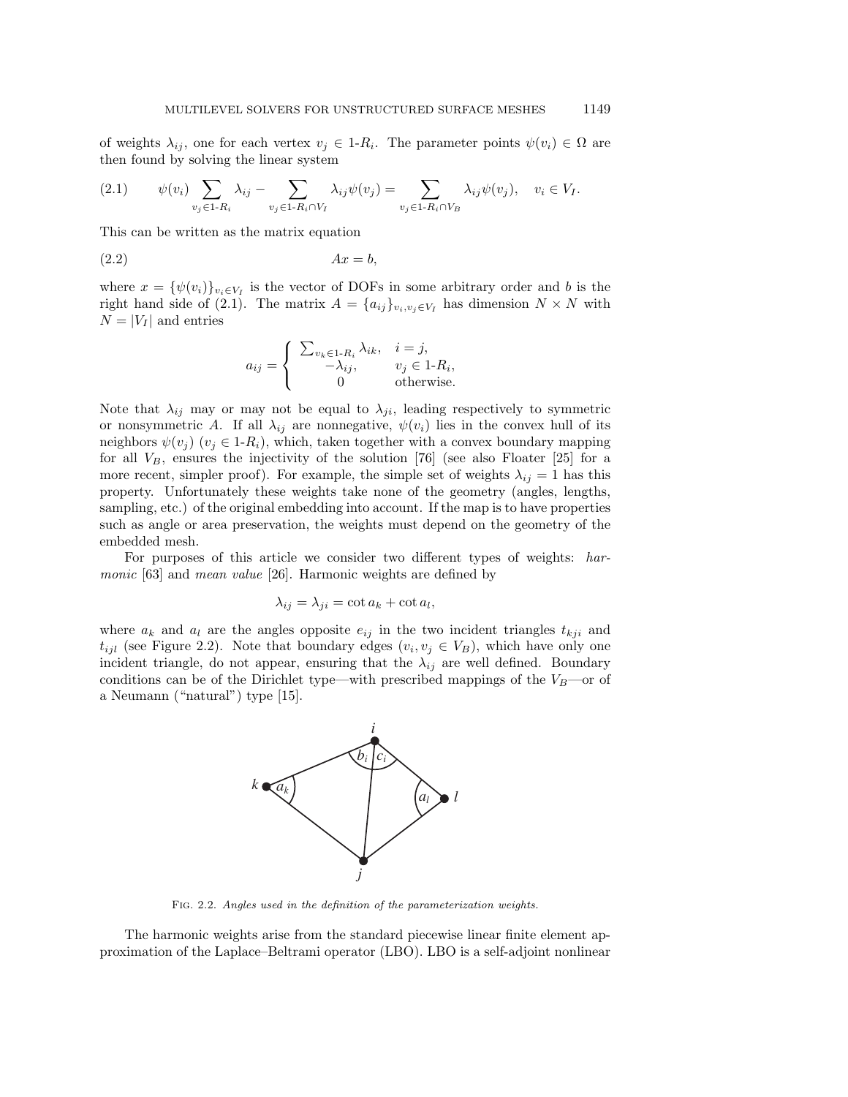of weights  $\lambda_{ij}$ , one for each vertex  $v_j \in 1-R_i$ . The parameter points  $\psi(v_i) \in \Omega$  are then found by solving the linear system

$$
(2.1) \qquad \psi(v_i) \sum_{v_j \in 1-R_i} \lambda_{ij} - \sum_{v_j \in 1-R_i \cap V_I} \lambda_{ij} \psi(v_j) = \sum_{v_j \in 1-R_i \cap V_B} \lambda_{ij} \psi(v_j), \quad v_i \in V_I.
$$

This can be written as the matrix equation

$$
(2.2) \t\t Ax = b,
$$

where  $x = {\psi(v_i)}_{v_i \in V_I}$  is the vector of DOFs in some arbitrary order and b is the right hand side of (2.1). The matrix  $A = \{a_{ij}\}_{v_i,v_j \in V_I}$  has dimension  $N \times N$  with  $N = |V_I|$  and entries

$$
a_{ij} = \begin{cases} \sum_{v_k \in 1-R_i} \lambda_{ik}, & i = j, \\ -\lambda_{ij}, & v_j \in 1-R_i, \\ 0 & \text{otherwise.} \end{cases}
$$

Note that  $\lambda_{ij}$  may or may not be equal to  $\lambda_{ji}$ , leading respectively to symmetric or nonsymmetric A. If all  $\lambda_{ij}$  are nonnegative,  $\psi(v_i)$  lies in the convex hull of its neighbors  $\psi(v_i)$   $(v_i \in 1-R_i)$ , which, taken together with a convex boundary mapping for all  $V_B$ , ensures the injectivity of the solution [76] (see also Floater [25] for a more recent, simpler proof). For example, the simple set of weights  $\lambda_{ij} = 1$  has this property. Unfortunately these weights take none of the geometry (angles, lengths, sampling, etc.) of the original embedding into account. If the map is to have properties such as angle or area preservation, the weights must depend on the geometry of the embedded mesh.

For purposes of this article we consider two different types of weights: harmonic [63] and mean value [26]. Harmonic weights are defined by

$$
\lambda_{ij} = \lambda_{ji} = \cot a_k + \cot a_l,
$$

where  $a_k$  and  $a_l$  are the angles opposite  $e_{ij}$  in the two incident triangles  $t_{kji}$  and  $t_{ijl}$  (see Figure 2.2). Note that boundary edges  $(v_i, v_j \in V_B)$ , which have only one incident triangle, do not appear, ensuring that the  $\lambda_{ij}$  are well defined. Boundary conditions can be of the Dirichlet type—with prescribed mappings of the  $V_B$ —or of a Neumann ("natural") type [15].



Fig. 2.2. Angles used in the definition of the parameterization weights.

The harmonic weights arise from the standard piecewise linear finite element approximation of the Laplace–Beltrami operator (LBO). LBO is a self-adjoint nonlinear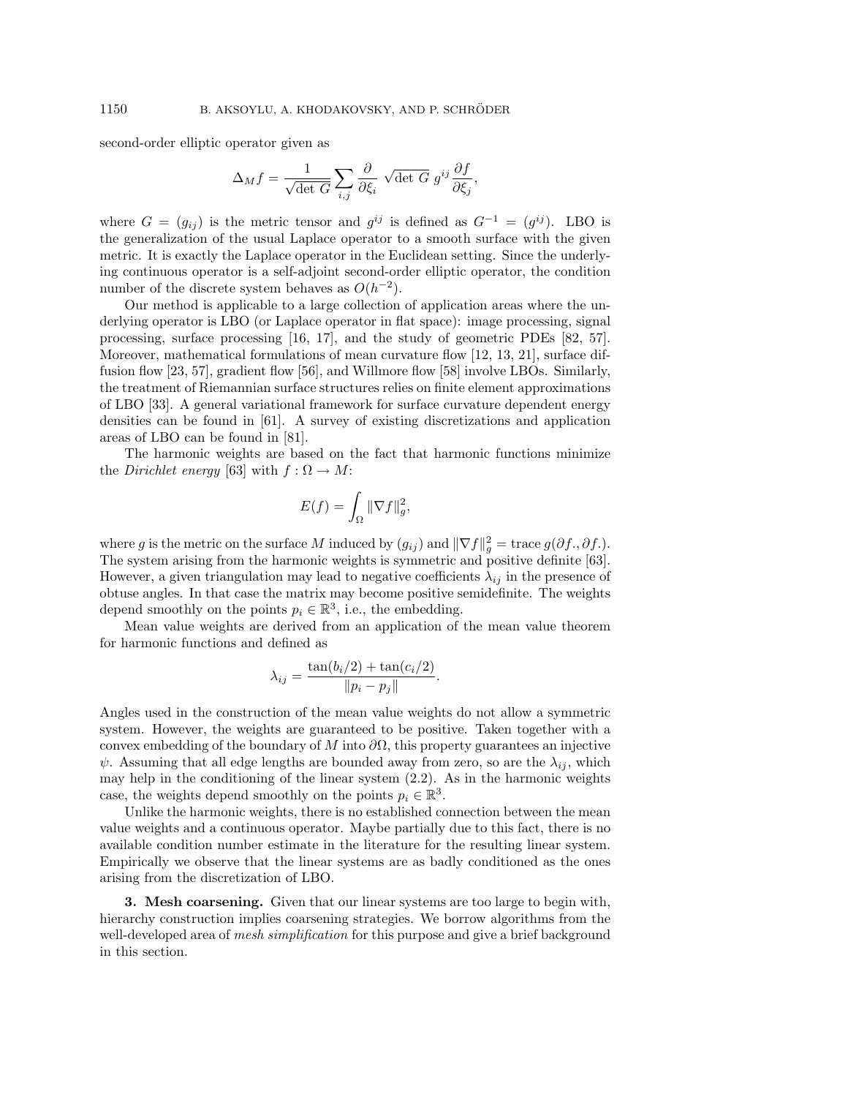second-order elliptic operator given as

$$
\Delta_M f = \frac{1}{\sqrt{\det G}} \sum_{i,j} \frac{\partial}{\partial \xi_i} \sqrt{\det G} \ g^{ij} \frac{\partial f}{\partial \xi_j},
$$

where  $G = (g_{ij})$  is the metric tensor and  $g^{ij}$  is defined as  $G^{-1} = (g^{ij})$ . LBO is the generalization of the usual Laplace operator to a smooth surface with the given metric. It is exactly the Laplace operator in the Euclidean setting. Since the underlying continuous operator is a self-adjoint second-order elliptic operator, the condition number of the discrete system behaves as  $O(h^{-2})$ .

Our method is applicable to a large collection of application areas where the underlying operator is LBO (or Laplace operator in flat space): image processing, signal processing, surface processing [16, 17], and the study of geometric PDEs [82, 57]. Moreover, mathematical formulations of mean curvature flow [12, 13, 21], surface diffusion flow [23, 57], gradient flow [56], and Willmore flow [58] involve LBOs. Similarly, the treatment of Riemannian surface structures relies on finite element approximations of LBO [33]. A general variational framework for surface curvature dependent energy densities can be found in [61]. A survey of existing discretizations and application areas of LBO can be found in [81].

The harmonic weights are based on the fact that harmonic functions minimize the *Dirichlet energy* [63] with  $f : \Omega \to M$ :

$$
E(f) = \int_{\Omega} \|\nabla f\|_g^2,
$$

where g is the metric on the surface M induced by  $(g_{ij})$  and  $\|\nabla f\|_g^2 = \text{trace } g(\partial f, \partial f).$ The system arising from the harmonic weights is symmetric and positive definite [63]. However, a given triangulation may lead to negative coefficients  $\lambda_{ij}$  in the presence of obtuse angles. In that case the matrix may become positive semidefinite. The weights depend smoothly on the points  $p_i \in \mathbb{R}^3$ , i.e., the embedding.

Mean value weights are derived from an application of the mean value theorem for harmonic functions and defined as

$$
\lambda_{ij} = \frac{\tan(b_i/2) + \tan(c_i/2)}{\|p_i - p_j\|}.
$$

Angles used in the construction of the mean value weights do not allow a symmetric system. However, the weights are guaranteed to be positive. Taken together with a convex embedding of the boundary of M into  $\partial\Omega$ , this property guarantees an injective  $\psi$ . Assuming that all edge lengths are bounded away from zero, so are the  $\lambda_{ij}$ , which may help in the conditioning of the linear system (2.2). As in the harmonic weights case, the weights depend smoothly on the points  $p_i \in \mathbb{R}^3$ .

Unlike the harmonic weights, there is no established connection between the mean value weights and a continuous operator. Maybe partially due to this fact, there is no available condition number estimate in the literature for the resulting linear system. Empirically we observe that the linear systems are as badly conditioned as the ones arising from the discretization of LBO.

**3. Mesh coarsening.** Given that our linear systems are too large to begin with, hierarchy construction implies coarsening strategies. We borrow algorithms from the well-developed area of *mesh simplification* for this purpose and give a brief background in this section.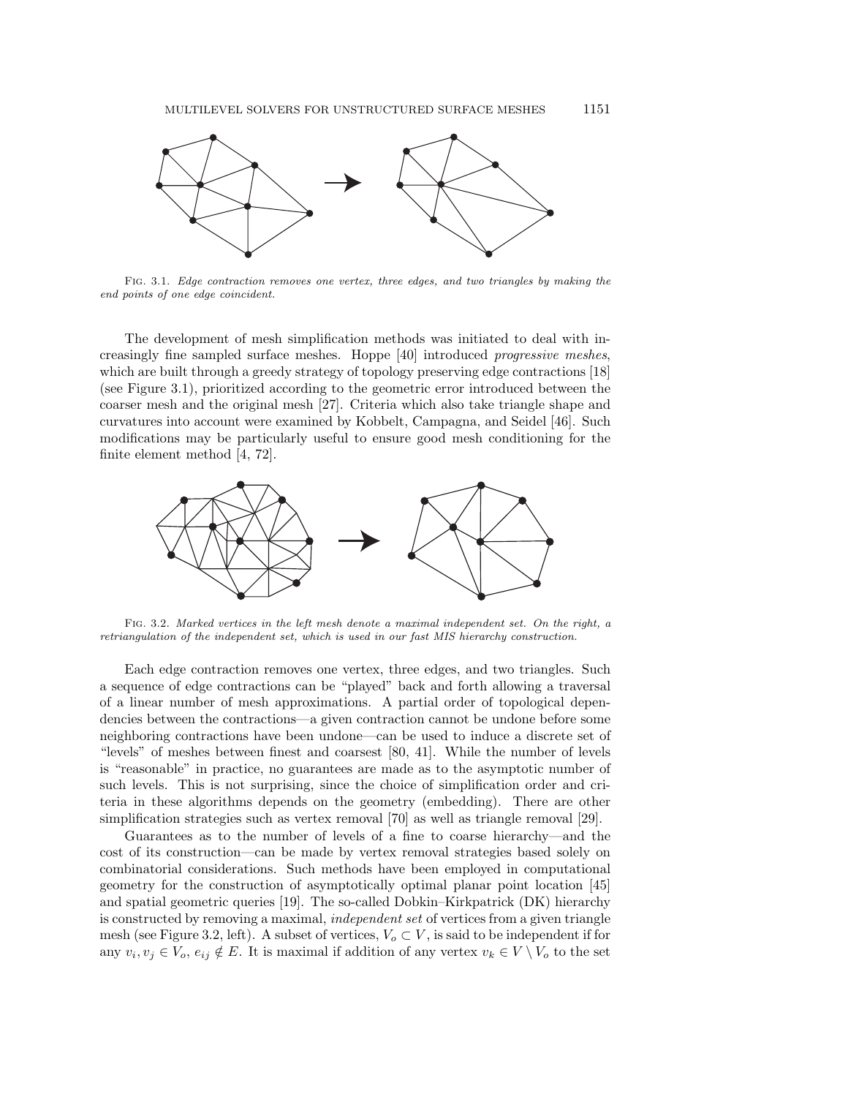

Fig. 3.1. Edge contraction removes one vertex, three edges, and two triangles by making the end points of one edge coincident.

The development of mesh simplification methods was initiated to deal with increasingly fine sampled surface meshes. Hoppe [40] introduced progressive meshes, which are built through a greedy strategy of topology preserving edge contractions [18] (see Figure 3.1), prioritized according to the geometric error introduced between the coarser mesh and the original mesh [27]. Criteria which also take triangle shape and curvatures into account were examined by Kobbelt, Campagna, and Seidel [46]. Such modifications may be particularly useful to ensure good mesh conditioning for the finite element method [4, 72].



Fig. 3.2. Marked vertices in the left mesh denote a maximal independent set. On the right, a retriangulation of the independent set, which is used in our fast MIS hierarchy construction.

Each edge contraction removes one vertex, three edges, and two triangles. Such a sequence of edge contractions can be "played" back and forth allowing a traversal of a linear number of mesh approximations. A partial order of topological dependencies between the contractions—a given contraction cannot be undone before some neighboring contractions have been undone—can be used to induce a discrete set of "levels" of meshes between finest and coarsest [80, 41]. While the number of levels is "reasonable" in practice, no guarantees are made as to the asymptotic number of such levels. This is not surprising, since the choice of simplification order and criteria in these algorithms depends on the geometry (embedding). There are other simplification strategies such as vertex removal [70] as well as triangle removal [29].

Guarantees as to the number of levels of a fine to coarse hierarchy—and the cost of its construction—can be made by vertex removal strategies based solely on combinatorial considerations. Such methods have been employed in computational geometry for the construction of asymptotically optimal planar point location [45] and spatial geometric queries [19]. The so-called Dobkin–Kirkpatrick (DK) hierarchy is constructed by removing a maximal, independent set of vertices from a given triangle mesh (see Figure 3.2, left). A subset of vertices,  $V_o \subset V$ , is said to be independent if for any  $v_i, v_j \in V_o$ ,  $e_{ij} \notin E$ . It is maximal if addition of any vertex  $v_k \in V \setminus V_o$  to the set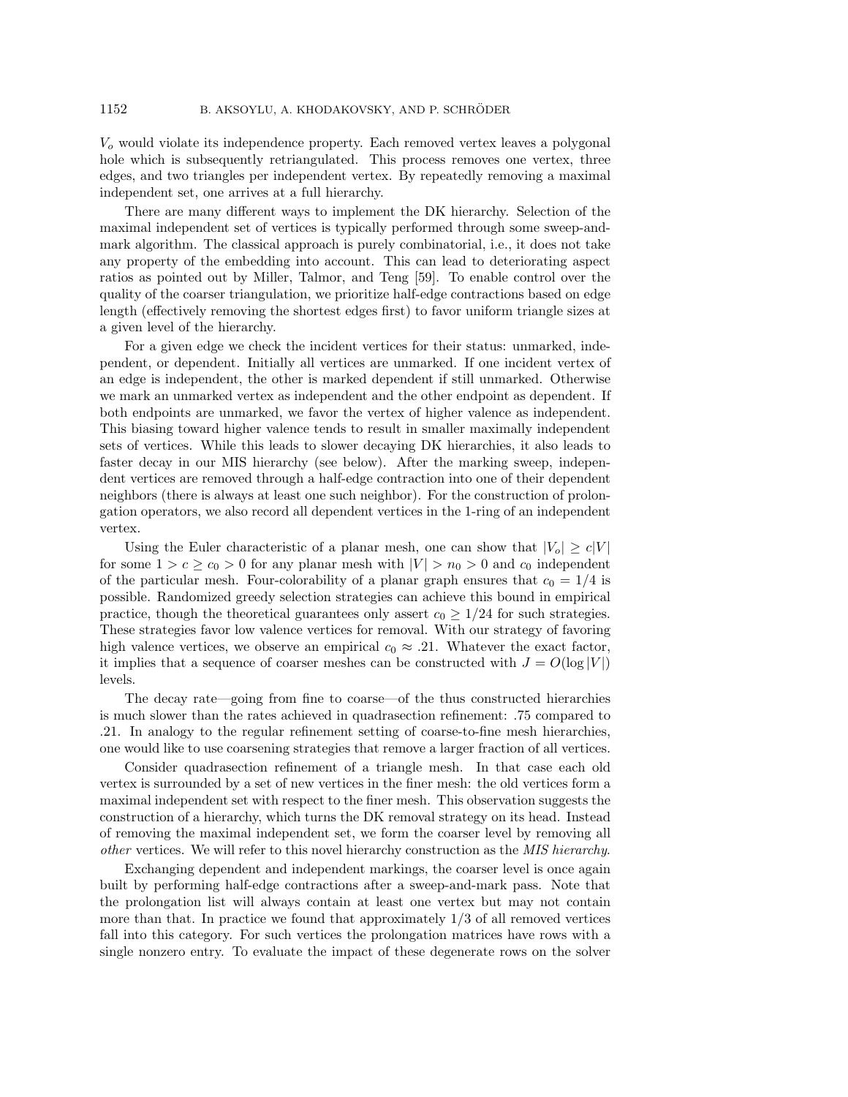$V<sub>o</sub>$  would violate its independence property. Each removed vertex leaves a polygonal hole which is subsequently retriangulated. This process removes one vertex, three edges, and two triangles per independent vertex. By repeatedly removing a maximal independent set, one arrives at a full hierarchy.

There are many different ways to implement the DK hierarchy. Selection of the maximal independent set of vertices is typically performed through some sweep-andmark algorithm. The classical approach is purely combinatorial, i.e., it does not take any property of the embedding into account. This can lead to deteriorating aspect ratios as pointed out by Miller, Talmor, and Teng [59]. To enable control over the quality of the coarser triangulation, we prioritize half-edge contractions based on edge length (effectively removing the shortest edges first) to favor uniform triangle sizes at a given level of the hierarchy.

For a given edge we check the incident vertices for their status: unmarked, independent, or dependent. Initially all vertices are unmarked. If one incident vertex of an edge is independent, the other is marked dependent if still unmarked. Otherwise we mark an unmarked vertex as independent and the other endpoint as dependent. If both endpoints are unmarked, we favor the vertex of higher valence as independent. This biasing toward higher valence tends to result in smaller maximally independent sets of vertices. While this leads to slower decaying DK hierarchies, it also leads to faster decay in our MIS hierarchy (see below). After the marking sweep, independent vertices are removed through a half-edge contraction into one of their dependent neighbors (there is always at least one such neighbor). For the construction of prolongation operators, we also record all dependent vertices in the 1-ring of an independent vertex.

Using the Euler characteristic of a planar mesh, one can show that  $|V_o| \geq c|V|$ for some  $1 > c \geq c_0 > 0$  for any planar mesh with  $|V| > n_0 > 0$  and  $c_0$  independent of the particular mesh. Four-colorability of a planar graph ensures that  $c_0 = 1/4$  is possible. Randomized greedy selection strategies can achieve this bound in empirical practice, though the theoretical guarantees only assert  $c_0 \geq 1/24$  for such strategies. These strategies favor low valence vertices for removal. With our strategy of favoring high valence vertices, we observe an empirical  $c_0 \approx .21$ . Whatever the exact factor, it implies that a sequence of coarser meshes can be constructed with  $J = O(\log |V|)$ levels.

The decay rate—going from fine to coarse—of the thus constructed hierarchies is much slower than the rates achieved in quadrasection refinement: .75 compared to .21. In analogy to the regular refinement setting of coarse-to-fine mesh hierarchies, one would like to use coarsening strategies that remove a larger fraction of all vertices.

Consider quadrasection refinement of a triangle mesh. In that case each old vertex is surrounded by a set of new vertices in the finer mesh: the old vertices form a maximal independent set with respect to the finer mesh. This observation suggests the construction of a hierarchy, which turns the DK removal strategy on its head. Instead of removing the maximal independent set, we form the coarser level by removing all other vertices. We will refer to this novel hierarchy construction as the MIS hierarchy.

Exchanging dependent and independent markings, the coarser level is once again built by performing half-edge contractions after a sweep-and-mark pass. Note that the prolongation list will always contain at least one vertex but may not contain more than that. In practice we found that approximately  $1/3$  of all removed vertices fall into this category. For such vertices the prolongation matrices have rows with a single nonzero entry. To evaluate the impact of these degenerate rows on the solver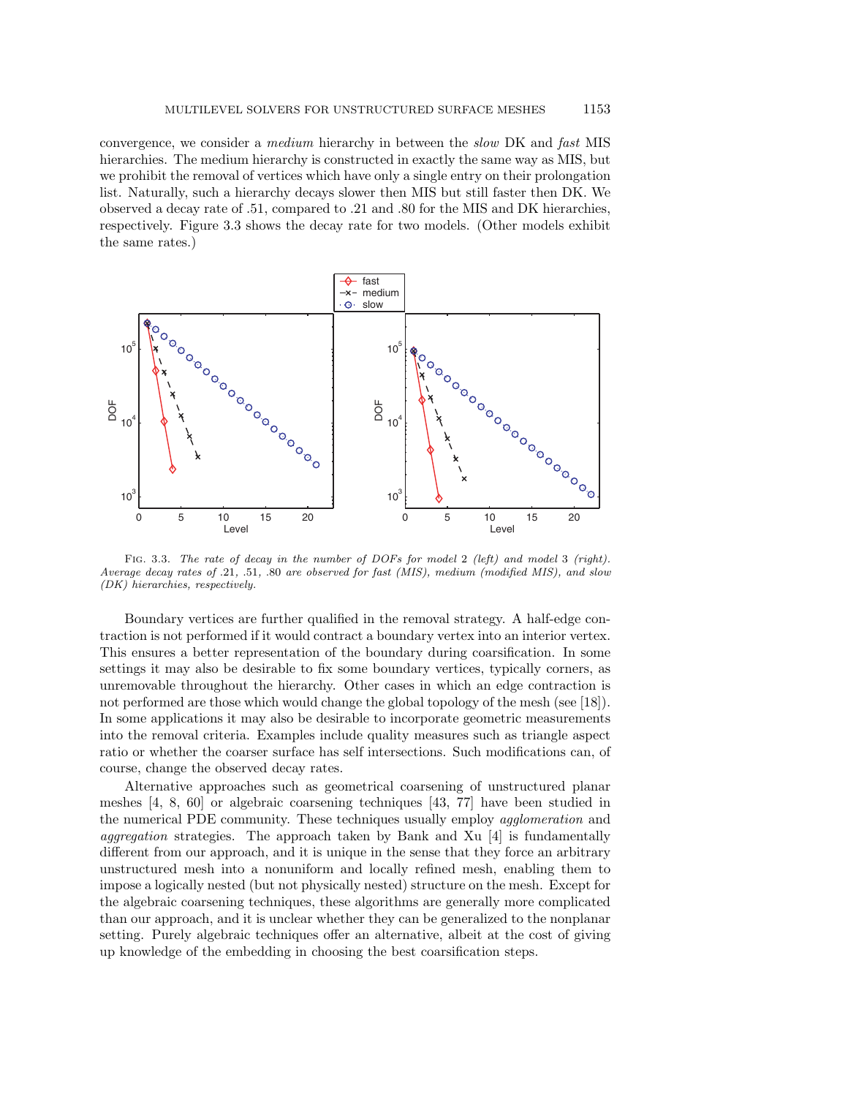convergence, we consider a medium hierarchy in between the slow DK and fast MIS hierarchies. The medium hierarchy is constructed in exactly the same way as MIS, but we prohibit the removal of vertices which have only a single entry on their prolongation list. Naturally, such a hierarchy decays slower then MIS but still faster then DK. We observed a decay rate of .51, compared to .21 and .80 for the MIS and DK hierarchies, respectively. Figure 3.3 shows the decay rate for two models. (Other models exhibit the same rates.)



FIG. 3.3. The rate of decay in the number of DOFs for model 2 (left) and model 3 (right). Average decay rates of .21, .51, .80 are observed for fast (MIS), medium (modified MIS), and slow (DK) hierarchies, respectively.

Boundary vertices are further qualified in the removal strategy. A half-edge contraction is not performed if it would contract a boundary vertex into an interior vertex. This ensures a better representation of the boundary during coarsification. In some settings it may also be desirable to fix some boundary vertices, typically corners, as unremovable throughout the hierarchy. Other cases in which an edge contraction is not performed are those which would change the global topology of the mesh (see [18]). In some applications it may also be desirable to incorporate geometric measurements into the removal criteria. Examples include quality measures such as triangle aspect ratio or whether the coarser surface has self intersections. Such modifications can, of course, change the observed decay rates.

Alternative approaches such as geometrical coarsening of unstructured planar meshes [4, 8, 60] or algebraic coarsening techniques [43, 77] have been studied in the numerical PDE community. These techniques usually employ agglomeration and *aggregation* strategies. The approach taken by Bank and Xu  $[4]$  is fundamentally different from our approach, and it is unique in the sense that they force an arbitrary unstructured mesh into a nonuniform and locally refined mesh, enabling them to impose a logically nested (but not physically nested) structure on the mesh. Except for the algebraic coarsening techniques, these algorithms are generally more complicated than our approach, and it is unclear whether they can be generalized to the nonplanar setting. Purely algebraic techniques offer an alternative, albeit at the cost of giving up knowledge of the embedding in choosing the best coarsification steps.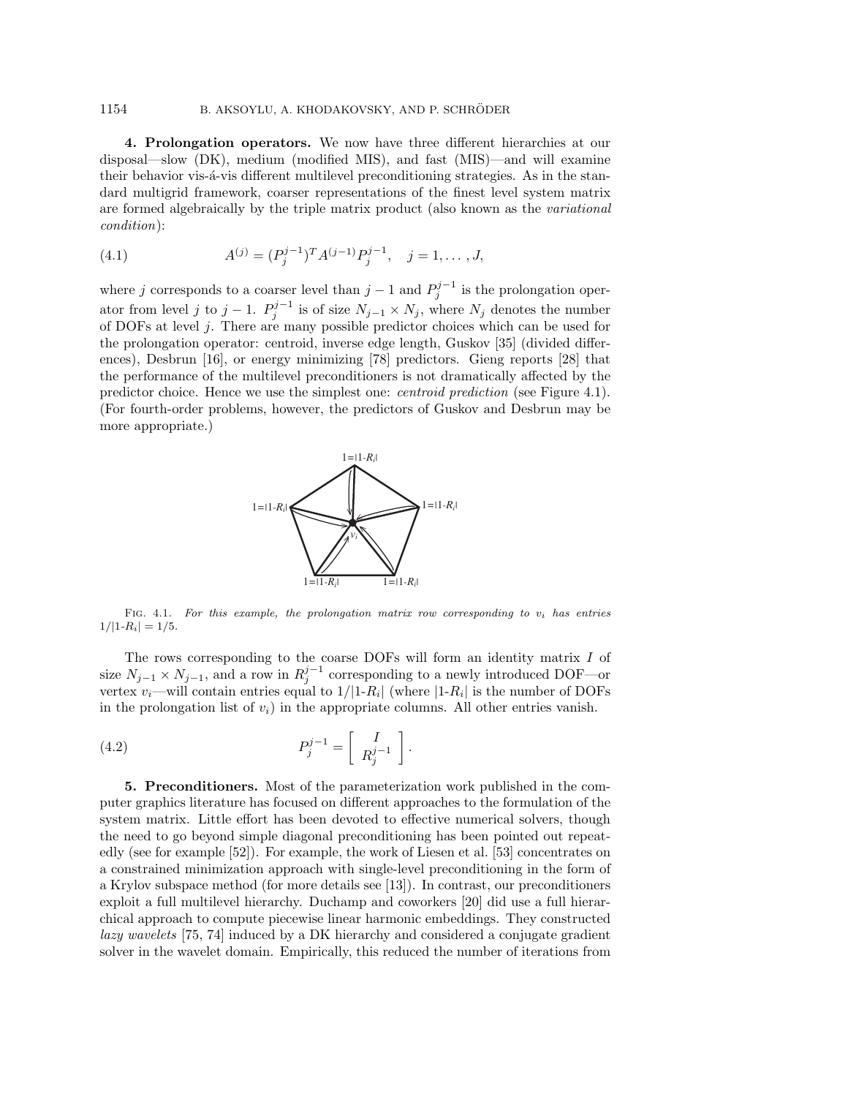**4. Prolongation operators.** We now have three different hierarchies at our disposal—slow (DK), medium (modified MIS), and fast (MIS)—and will examine their behavior vis- $\acute{a}$ -vis different multilevel preconditioning strategies. As in the standard multigrid framework, coarser representations of the finest level system matrix are formed algebraically by the triple matrix product (also known as the variational condition):

(4.1) 
$$
A^{(j)} = (P_j^{j-1})^T A^{(j-1)} P_j^{j-1}, \quad j = 1, ..., J,
$$

where j corresponds to a coarser level than  $j-1$  and  $P_j^{j-1}$  is the prolongation operator from level j to j – 1.  $P_j^{j-1}$  is of size  $N_{j-1} \times N_j$ , where  $N_j$  denotes the number of DOFs at level j. There are many possible predictor choices which can be used for the prolongation operator: centroid, inverse edge length, Guskov [35] (divided differences), Desbrun [16], or energy minimizing [78] predictors. Gieng reports [28] that the performance of the multilevel preconditioners is not dramatically affected by the predictor choice. Hence we use the simplest one: centroid prediction (see Figure 4.1). (For fourth-order problems, however, the predictors of Guskov and Desbrun may be more appropriate.)



FIG. 4.1. For this example, the prolongation matrix row corresponding to  $v_i$  has entries  $1/|1-R_i| = 1/5.$ 

The rows corresponding to the coarse DOFs will form an identity matrix I of size  $N_{j-1} \times N_{j-1}$ , and a row in  $R_j^{j-1}$  corresponding to a newly introduced DOF—or vertex  $v_i$ —will contain entries equal to  $1/|1-R_i|$  (where  $|1-R_i|$  is the number of DOFs in the prolongation list of  $v_i$ ) in the appropriate columns. All other entries vanish.

(4.2) 
$$
P_j^{j-1} = \left[ \begin{array}{c} I \\ R_j^{j-1} \end{array} \right].
$$

**5. Preconditioners.** Most of the parameterization work published in the computer graphics literature has focused on different approaches to the formulation of the system matrix. Little effort has been devoted to effective numerical solvers, though the need to go beyond simple diagonal preconditioning has been pointed out repeatedly (see for example [52]). For example, the work of Liesen et al. [53] concentrates on a constrained minimization approach with single-level preconditioning in the form of a Krylov subspace method (for more details see [13]). In contrast, our preconditioners exploit a full multilevel hierarchy. Duchamp and coworkers [20] did use a full hierarchical approach to compute piecewise linear harmonic embeddings. They constructed lazy wavelets [75, 74] induced by a DK hierarchy and considered a conjugate gradient solver in the wavelet domain. Empirically, this reduced the number of iterations from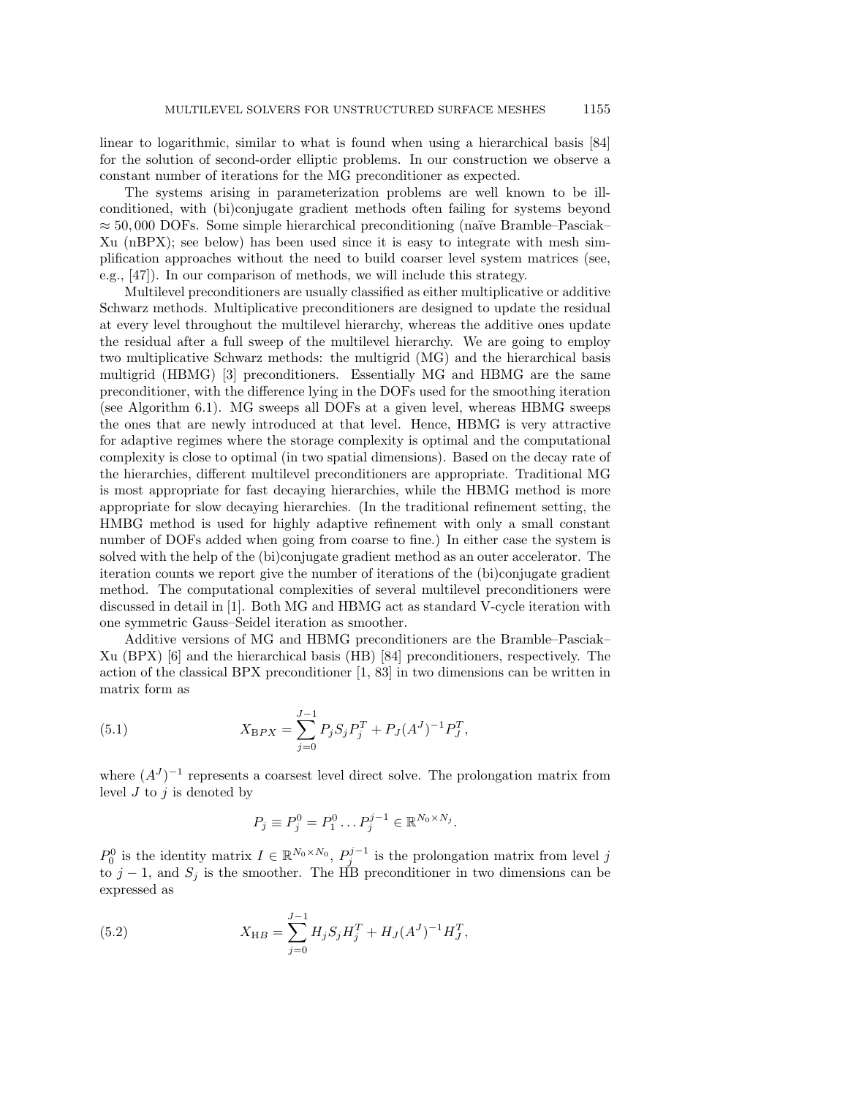linear to logarithmic, similar to what is found when using a hierarchical basis [84] for the solution of second-order elliptic problems. In our construction we observe a constant number of iterations for the MG preconditioner as expected.

The systems arising in parameterization problems are well known to be illconditioned, with (bi)conjugate gradient methods often failing for systems beyond  $\approx$  50,000 DOFs. Some simple hierarchical preconditioning (naïve Bramble–Pasciak– Xu (nBPX); see below) has been used since it is easy to integrate with mesh simplification approaches without the need to build coarser level system matrices (see, e.g., [47]). In our comparison of methods, we will include this strategy.

Multilevel preconditioners are usually classified as either multiplicative or additive Schwarz methods. Multiplicative preconditioners are designed to update the residual at every level throughout the multilevel hierarchy, whereas the additive ones update the residual after a full sweep of the multilevel hierarchy. We are going to employ two multiplicative Schwarz methods: the multigrid (MG) and the hierarchical basis multigrid (HBMG) [3] preconditioners. Essentially MG and HBMG are the same preconditioner, with the difference lying in the DOFs used for the smoothing iteration (see Algorithm 6.1). MG sweeps all DOFs at a given level, whereas HBMG sweeps the ones that are newly introduced at that level. Hence, HBMG is very attractive for adaptive regimes where the storage complexity is optimal and the computational complexity is close to optimal (in two spatial dimensions). Based on the decay rate of the hierarchies, different multilevel preconditioners are appropriate. Traditional MG is most appropriate for fast decaying hierarchies, while the HBMG method is more appropriate for slow decaying hierarchies. (In the traditional refinement setting, the HMBG method is used for highly adaptive refinement with only a small constant number of DOFs added when going from coarse to fine.) In either case the system is solved with the help of the (bi)conjugate gradient method as an outer accelerator. The iteration counts we report give the number of iterations of the (bi)conjugate gradient method. The computational complexities of several multilevel preconditioners were discussed in detail in [1]. Both MG and HBMG act as standard V-cycle iteration with one symmetric Gauss–Seidel iteration as smoother.

Additive versions of MG and HBMG preconditioners are the Bramble–Pasciak– Xu (BPX) [6] and the hierarchical basis (HB) [84] preconditioners, respectively. The action of the classical BPX preconditioner [1, 83] in two dimensions can be written in matrix form as

(5.1) 
$$
X_{\text{B}PX} = \sum_{j=0}^{J-1} P_j S_j P_j^T + P_J (A^J)^{-1} P_J^T,
$$

where  $(A^{J})^{-1}$  represents a coarsest level direct solve. The prolongation matrix from level  $J$  to  $j$  is denoted by

$$
P_j \equiv P_j^0 = P_1^0 \dots P_j^{j-1} \in \mathbb{R}^{N_0 \times N_j}.
$$

 $P_0^0$  is the identity matrix  $I \in \mathbb{R}^{N_0 \times N_0}$ ,  $P_j^{j-1}$  is the prolongation matrix from level j to j − 1, and  $S_i$  is the smoother. The HB preconditioner in two dimensions can be expressed as

(5.2) 
$$
X_{\text{H}B} = \sum_{j=0}^{J-1} H_j S_j H_j^T + H_J (A^J)^{-1} H_J^T,
$$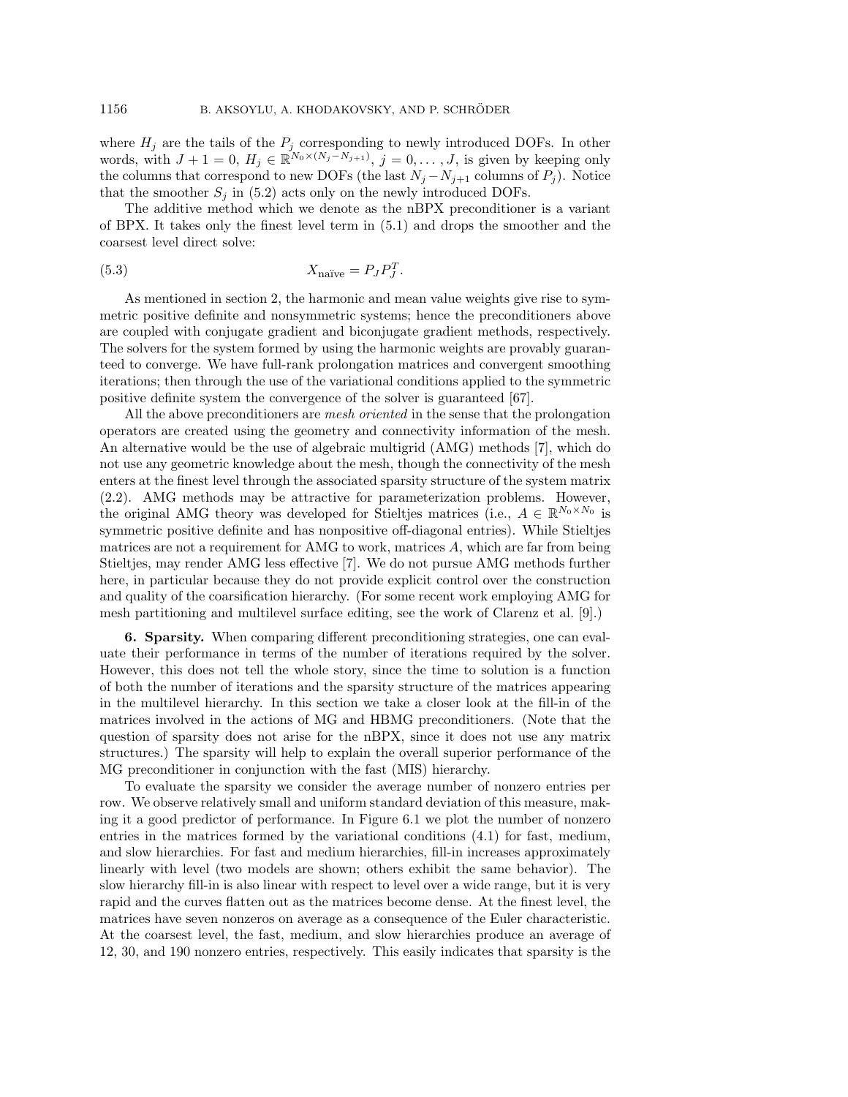where  $H_j$  are the tails of the  $P_j$  corresponding to newly introduced DOFs. In other words, with  $J + 1 = 0$ ,  $H_j \in \mathbb{R}^{N_0 \times (N_j - N_{j+1})}$ ,  $j = 0, \ldots, J$ , is given by keeping only the columns that correspond to new DOFs (the last  $N_j - N_{j+1}$  columns of  $P_j$ ). Notice that the smoother  $S_i$  in (5.2) acts only on the newly introduced DOFs.

The additive method which we denote as the nBPX preconditioner is a variant of BPX. It takes only the finest level term in (5.1) and drops the smoother and the coarsest level direct solve:

(5.3) 
$$
X_{\text{naïve}} = P_J P_J^T.
$$

As mentioned in section 2, the harmonic and mean value weights give rise to symmetric positive definite and nonsymmetric systems; hence the preconditioners above are coupled with conjugate gradient and biconjugate gradient methods, respectively. The solvers for the system formed by using the harmonic weights are provably guaranteed to converge. We have full-rank prolongation matrices and convergent smoothing iterations; then through the use of the variational conditions applied to the symmetric positive definite system the convergence of the solver is guaranteed [67].

All the above preconditioners are mesh oriented in the sense that the prolongation operators are created using the geometry and connectivity information of the mesh. An alternative would be the use of algebraic multigrid (AMG) methods [7], which do not use any geometric knowledge about the mesh, though the connectivity of the mesh enters at the finest level through the associated sparsity structure of the system matrix (2.2). AMG methods may be attractive for parameterization problems. However, the original AMG theory was developed for Stieltjes matrices (i.e.,  $A \in \mathbb{R}^{N_0 \times N_0}$  is symmetric positive definite and has nonpositive off-diagonal entries). While Stieltjes matrices are not a requirement for AMG to work, matrices A, which are far from being Stieltjes, may render AMG less effective [7]. We do not pursue AMG methods further here, in particular because they do not provide explicit control over the construction and quality of the coarsification hierarchy. (For some recent work employing AMG for mesh partitioning and multilevel surface editing, see the work of Clarenz et al. [9].)

**6. Sparsity.** When comparing different preconditioning strategies, one can evaluate their performance in terms of the number of iterations required by the solver. However, this does not tell the whole story, since the time to solution is a function of both the number of iterations and the sparsity structure of the matrices appearing in the multilevel hierarchy. In this section we take a closer look at the fill-in of the matrices involved in the actions of MG and HBMG preconditioners. (Note that the question of sparsity does not arise for the nBPX, since it does not use any matrix structures.) The sparsity will help to explain the overall superior performance of the MG preconditioner in conjunction with the fast (MIS) hierarchy.

To evaluate the sparsity we consider the average number of nonzero entries per row. We observe relatively small and uniform standard deviation of this measure, making it a good predictor of performance. In Figure 6.1 we plot the number of nonzero entries in the matrices formed by the variational conditions (4.1) for fast, medium, and slow hierarchies. For fast and medium hierarchies, fill-in increases approximately linearly with level (two models are shown; others exhibit the same behavior). The slow hierarchy fill-in is also linear with respect to level over a wide range, but it is very rapid and the curves flatten out as the matrices become dense. At the finest level, the matrices have seven nonzeros on average as a consequence of the Euler characteristic. At the coarsest level, the fast, medium, and slow hierarchies produce an average of 12, 30, and 190 nonzero entries, respectively. This easily indicates that sparsity is the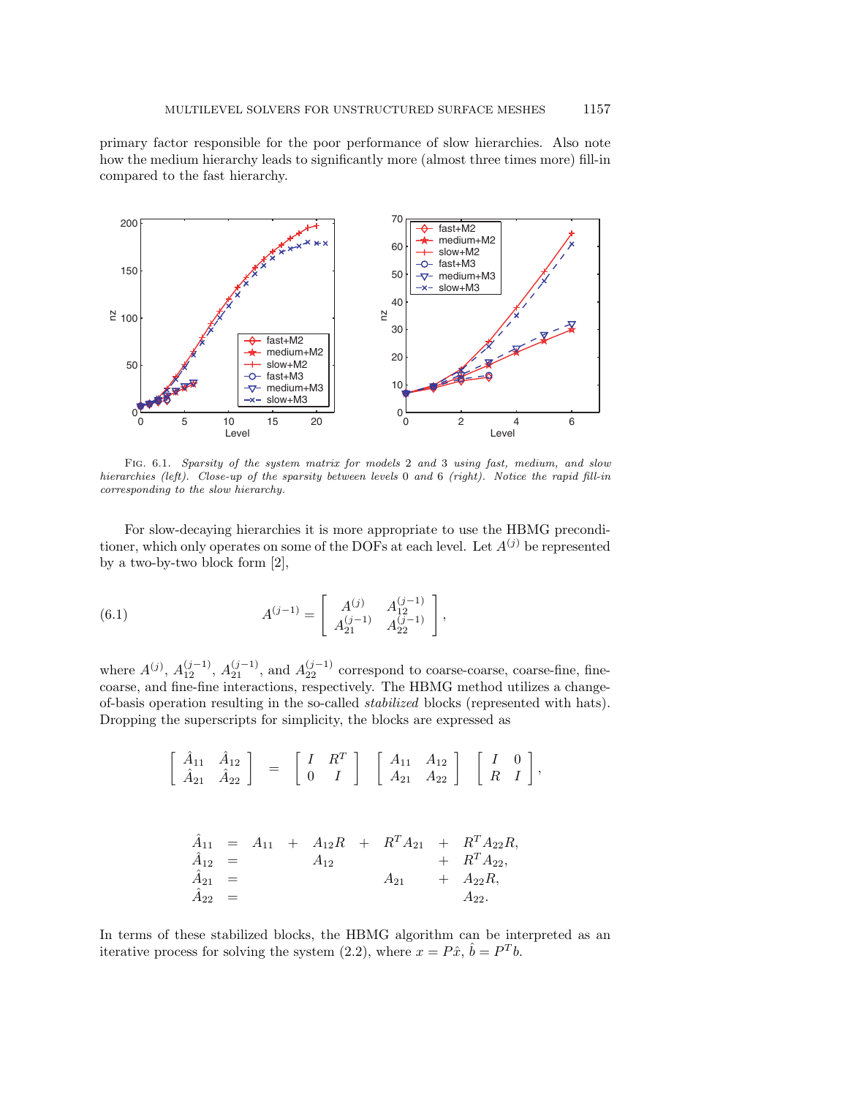primary factor responsible for the poor performance of slow hierarchies. Also note how the medium hierarchy leads to significantly more (almost three times more) fill-in compared to the fast hierarchy.



Fig. 6.1. Sparsity of the system matrix for models 2 and 3 using fast, medium, and slow hierarchies (left). Close-up of the sparsity between levels 0 and 6 (right). Notice the rapid fill-in corresponding to the slow hierarchy.

For slow-decaying hierarchies it is more appropriate to use the HBMG preconditioner, which only operates on some of the DOFs at each level. Let  $A^{(j)}$  be represented by a two-by-two block form [2],

(6.1) 
$$
A^{(j-1)} = \begin{bmatrix} A^{(j)} & A_{12}^{(j-1)} \\ A_{21}^{(j-1)} & A_{22}^{(j-1)} \end{bmatrix},
$$

where  $A^{(j)}$ ,  $A_{12}^{(j-1)}$ ,  $A_{21}^{(j-1)}$ , and  $A_{22}^{(j-1)}$  correspond to coarse-coarse, coarse-fine, finecoarse, and fine-fine interactions, respectively. The HBMG method utilizes a changeof-basis operation resulting in the so-called stabilized blocks (represented with hats). Dropping the superscripts for simplicity, the blocks are expressed as

$$
\begin{bmatrix}\n\hat{A}_{11} & \hat{A}_{12} \\
\hat{A}_{21} & \hat{A}_{22}\n\end{bmatrix} = \begin{bmatrix}\nI & R^T \\
0 & I\n\end{bmatrix} \begin{bmatrix}\nA_{11} & A_{12} \\
A_{21} & A_{22}\n\end{bmatrix} \begin{bmatrix}\nI & 0 \\
R & I\n\end{bmatrix},
$$
\n
$$
\begin{aligned}\n\hat{A}_{11} &= A_{11} + A_{12}R + R^T A_{21} + R^T A_{22}R, \\
A_{12} &= A_{12} + R^T A_{22}, \\
A_{21} &= A_{22}R, \\
A_{22} &= A_{22}.\n\end{aligned}
$$

In terms of these stabilized blocks, the HBMG algorithm can be interpreted as an iterative process for solving the system (2.2), where  $x = P\hat{x}$ ,  $\hat{b} = P^T b$ .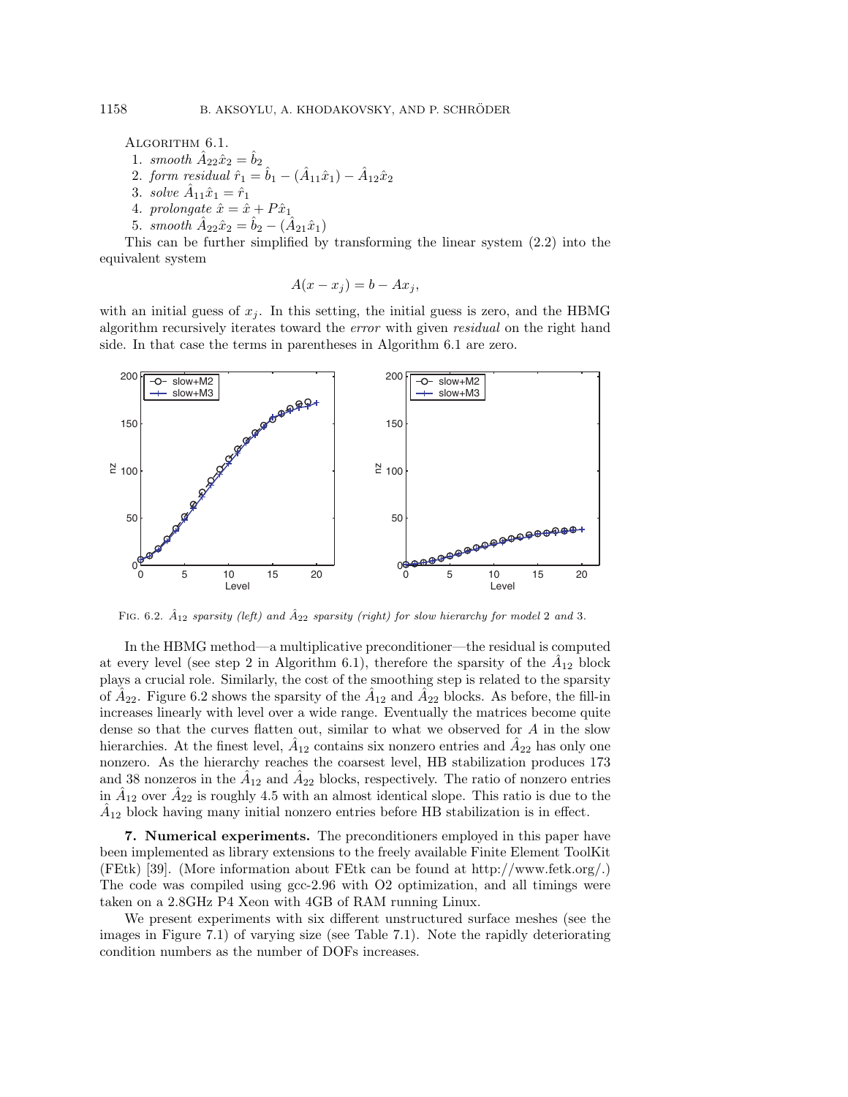ALGORITHM 6.1.

- 1. *smooth*  $\hat{A}_{22}\hat{x}_2 = \hat{b}_2$
- 2. form residual  $\hat{r}_1 = \hat{b}_1 (\hat{A}_{11}\hat{x}_1) \hat{A}_{12}\hat{x}_2$
- 3. solve  $A_{11}\hat{x}_1 = \hat{r}_1$
- 4. prolongate  $\hat{x} = \hat{x} + P\hat{x}_1$
- 5. smooth  $\hat{A}_{22}\hat{x}_2 = \hat{b}_2 (\hat{A}_{21}\hat{x}_1)$

This can be further simplified by transforming the linear system  $(2.2)$  into the equivalent system

$$
A(x - x_j) = b - Ax_j,
$$

with an initial guess of  $x_j$ . In this setting, the initial guess is zero, and the HBMG algorithm recursively iterates toward the error with given residual on the right hand side. In that case the terms in parentheses in Algorithm 6.1 are zero.



FIG. 6.2.  $\hat{A}_{12}$  sparsity (left) and  $\hat{A}_{22}$  sparsity (right) for slow hierarchy for model 2 and 3.

In the HBMG method—a multiplicative preconditioner—the residual is computed at every level (see step 2 in Algorithm 6.1), therefore the sparsity of the  $A_{12}$  block plays a crucial role. Similarly, the cost of the smoothing step is related to the sparsity of  $A_{22}$ . Figure 6.2 shows the sparsity of the  $A_{12}$  and  $A_{22}$  blocks. As before, the fill-in increases linearly with level over a wide range. Eventually the matrices become quite dense so that the curves flatten out, similar to what we observed for A in the slow hierarchies. At the finest level,  $\hat{A}_{12}$  contains six nonzero entries and  $\hat{A}_{22}$  has only one nonzero. As the hierarchy reaches the coarsest level, HB stabilization produces 173 and 38 nonzeros in the  $\hat{A}_{12}$  and  $\hat{A}_{22}$  blocks, respectively. The ratio of nonzero entries in  $A_{12}$  over  $A_{22}$  is roughly 4.5 with an almost identical slope. This ratio is due to the  $A_{12}$  block having many initial nonzero entries before HB stabilization is in effect.

**7. Numerical experiments.** The preconditioners employed in this paper have been implemented as library extensions to the freely available Finite Element ToolKit (FEtk) [39]. (More information about FEtk can be found at http://www.fetk.org/.) The code was compiled using gcc-2.96 with O2 optimization, and all timings were taken on a 2.8GHz P4 Xeon with 4GB of RAM running Linux.

We present experiments with six different unstructured surface meshes (see the images in Figure 7.1) of varying size (see Table 7.1). Note the rapidly deteriorating condition numbers as the number of DOFs increases.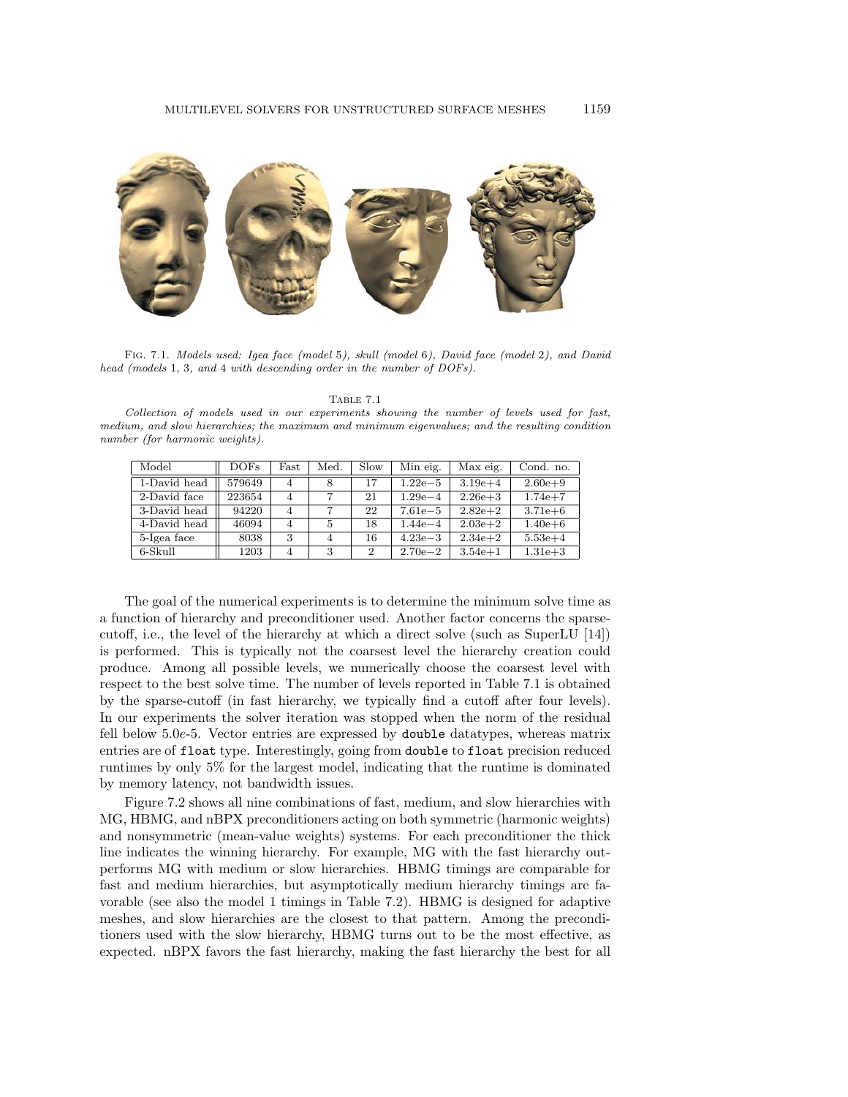

Fig. 7.1. Models used: Igea face (model 5), skull (model 6), David face (model 2), and David head (models 1, 3, and 4 with descending order in the number of DOFs).

## Table 7.1

Collection of models used in our experiments showing the number of levels used for fast, medium, and slow hierarchies; the maximum and minimum eigenvalues; and the resulting condition number (for harmonic weights).

| Model        | DOFs   | Fast           | Med. | Slow | Min eig.    | Max eig.    | Cond. no.   |
|--------------|--------|----------------|------|------|-------------|-------------|-------------|
| 1-David head | 579649 | $\overline{4}$ |      | 17   | $1.22e - 5$ | $3.19e + 4$ | $2.60e + 9$ |
| 2-David face | 223654 | $\overline{4}$ |      | 21   | $1.29e - 4$ | $2.26e + 3$ | $1.74e + 7$ |
| 3-David head | 94220  | $\overline{4}$ |      | 22   | $7.61e - 5$ | $2.82e + 2$ | $3.71e + 6$ |
| 4-David head | 46094  | $\overline{4}$ | 5.   | 18   | $1.44e - 4$ | $2.03e + 2$ | $1.40e + 6$ |
| 5-Igea face  | 8038   | 3              |      | 16   | $4.23e - 3$ | $2.34e + 2$ | $5.53e + 4$ |
| 6-Skull      | 1203   | $\overline{4}$ | 3    | 2    | $2.70e - 2$ | $3.54e + 1$ | $1.31e + 3$ |

The goal of the numerical experiments is to determine the minimum solve time as a function of hierarchy and preconditioner used. Another factor concerns the sparsecutoff, i.e., the level of the hierarchy at which a direct solve (such as SuperLU [14]) is performed. This is typically not the coarsest level the hierarchy creation could produce. Among all possible levels, we numerically choose the coarsest level with respect to the best solve time. The number of levels reported in Table 7.1 is obtained by the sparse-cutoff (in fast hierarchy, we typically find a cutoff after four levels). In our experiments the solver iteration was stopped when the norm of the residual fell below 5.0e-5. Vector entries are expressed by double datatypes, whereas matrix entries are of float type. Interestingly, going from double to float precision reduced runtimes by only 5% for the largest model, indicating that the runtime is dominated by memory latency, not bandwidth issues.

Figure 7.2 shows all nine combinations of fast, medium, and slow hierarchies with MG, HBMG, and nBPX preconditioners acting on both symmetric (harmonic weights) and nonsymmetric (mean-value weights) systems. For each preconditioner the thick line indicates the winning hierarchy. For example, MG with the fast hierarchy outperforms MG with medium or slow hierarchies. HBMG timings are comparable for fast and medium hierarchies, but asymptotically medium hierarchy timings are favorable (see also the model 1 timings in Table 7.2). HBMG is designed for adaptive meshes, and slow hierarchies are the closest to that pattern. Among the preconditioners used with the slow hierarchy, HBMG turns out to be the most effective, as expected. nBPX favors the fast hierarchy, making the fast hierarchy the best for all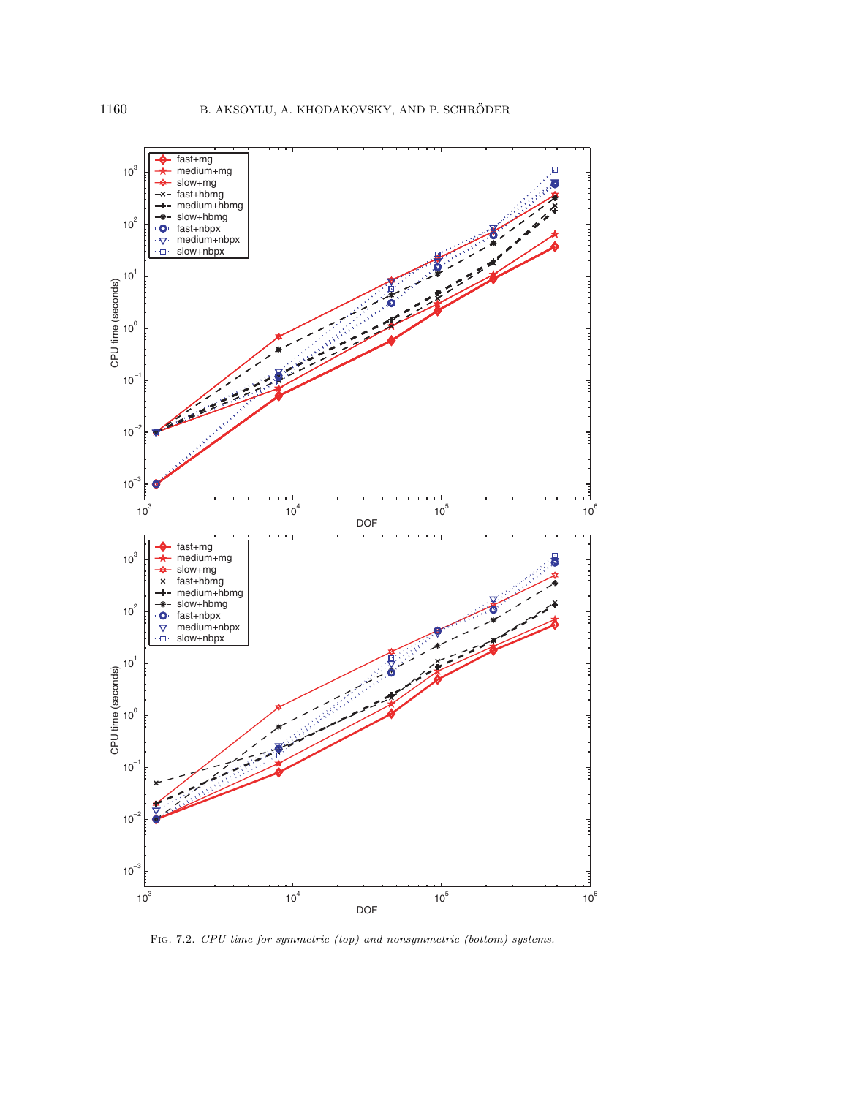

FIG. 7.2. CPU time for symmetric (top) and nonsymmetric (bottom) systems.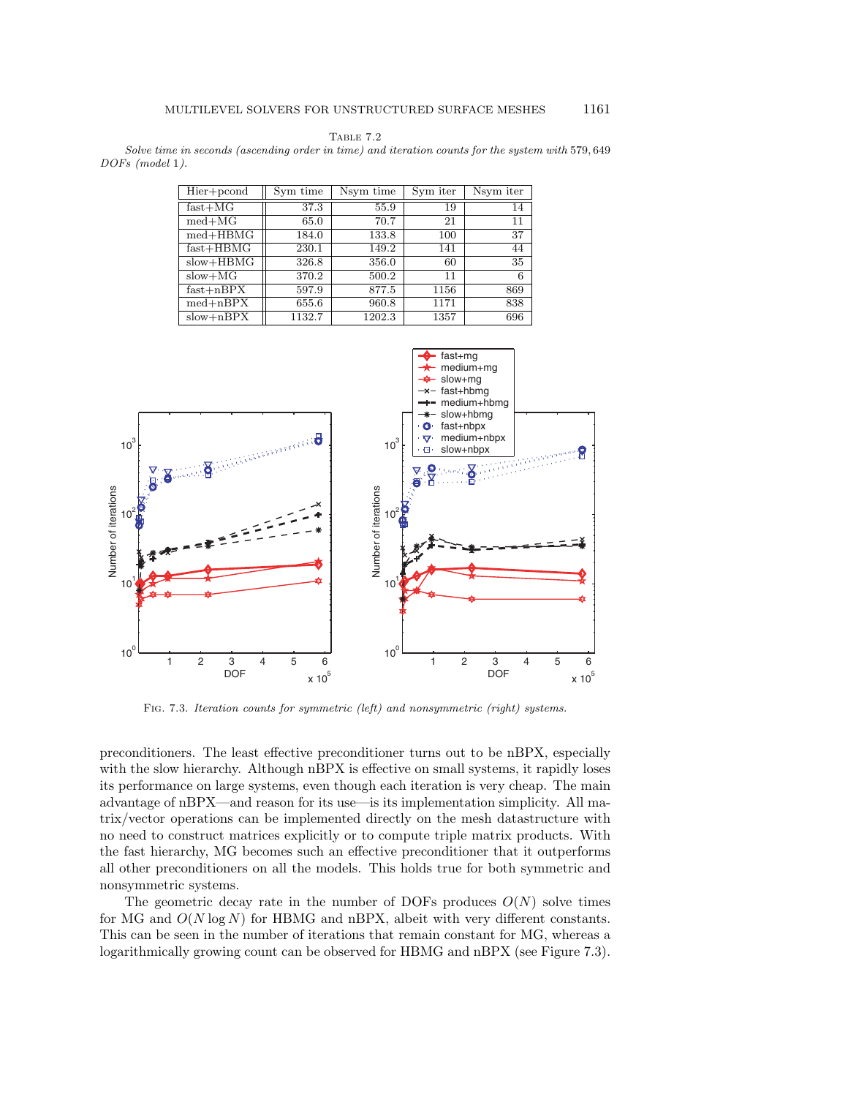| I<br>٠ |  |
|--------|--|
|        |  |

Solve time in seconds (ascending order in time) and iteration counts for the system with 579, 649 DOFs (model 1).

| $\text{Hier}+\text{pcond}$ | Sym time | Nsym time | Sym iter | Nsym iter |
|----------------------------|----------|-----------|----------|-----------|
| $fast+MG$                  | 37.3     | 55.9      | 19       | 14        |
| $med + MG$                 | 65.0     | 70.7      | 21       | 11        |
| $med + HBMG$               | 184.0    | 133.8     | 100      | 37        |
| $fast+HBMG$                | 230.1    | 149.2     | 141      | 44        |
| $slow+HBMG$                | 326.8    | 356.0     | 60       | 35        |
| $slow+MG$                  | 370.2    | 500.2     | 11       | 6         |
| $fast+nBPX$                | 597.9    | 877.5     | 1156     | 869       |
| $med+nBPX$                 | 655.6    | 960.8     | 1171     | 838       |
| $slow+nBPX$                | 1132.7   | 1202.3    | 1357     | 696       |



FIG. 7.3. Iteration counts for symmetric (left) and nonsymmetric (right) systems.

preconditioners. The least effective preconditioner turns out to be nBPX, especially with the slow hierarchy. Although nBPX is effective on small systems, it rapidly loses its performance on large systems, even though each iteration is very cheap. The main advantage of nBPX—and reason for its use—is its implementation simplicity. All matrix/vector operations can be implemented directly on the mesh datastructure with no need to construct matrices explicitly or to compute triple matrix products. With the fast hierarchy, MG becomes such an effective preconditioner that it outperforms all other preconditioners on all the models. This holds true for both symmetric and nonsymmetric systems.

The geometric decay rate in the number of DOFs produces  $O(N)$  solve times for MG and  $O(N \log N)$  for HBMG and nBPX, albeit with very different constants. This can be seen in the number of iterations that remain constant for MG, whereas a logarithmically growing count can be observed for HBMG and nBPX (see Figure 7.3).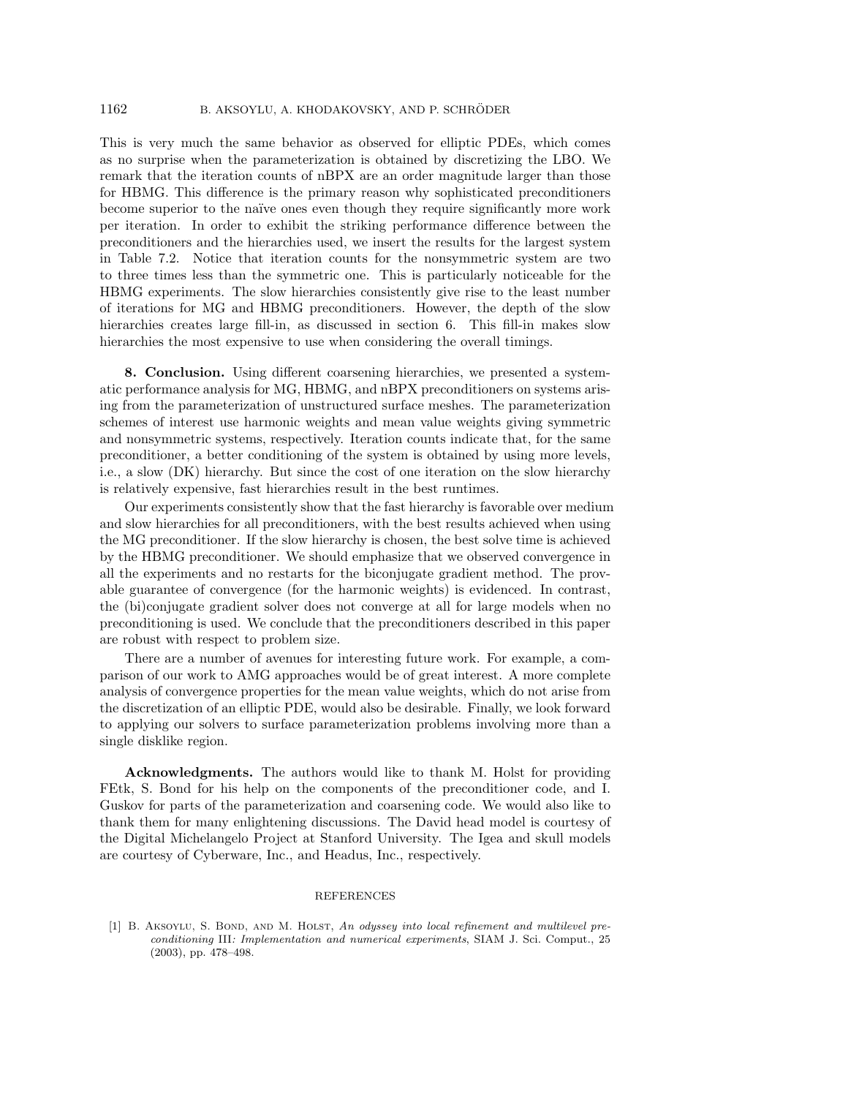This is very much the same behavior as observed for elliptic PDEs, which comes as no surprise when the parameterization is obtained by discretizing the LBO. We remark that the iteration counts of nBPX are an order magnitude larger than those for HBMG. This difference is the primary reason why sophisticated preconditioners become superior to the naïve ones even though they require significantly more work per iteration. In order to exhibit the striking performance difference between the preconditioners and the hierarchies used, we insert the results for the largest system in Table 7.2. Notice that iteration counts for the nonsymmetric system are two to three times less than the symmetric one. This is particularly noticeable for the HBMG experiments. The slow hierarchies consistently give rise to the least number of iterations for MG and HBMG preconditioners. However, the depth of the slow hierarchies creates large fill-in, as discussed in section 6. This fill-in makes slow hierarchies the most expensive to use when considering the overall timings.

**8. Conclusion.** Using different coarsening hierarchies, we presented a systematic performance analysis for MG, HBMG, and nBPX preconditioners on systems arising from the parameterization of unstructured surface meshes. The parameterization schemes of interest use harmonic weights and mean value weights giving symmetric and nonsymmetric systems, respectively. Iteration counts indicate that, for the same preconditioner, a better conditioning of the system is obtained by using more levels, i.e., a slow (DK) hierarchy. But since the cost of one iteration on the slow hierarchy is relatively expensive, fast hierarchies result in the best runtimes.

Our experiments consistently show that the fast hierarchy is favorable over medium and slow hierarchies for all preconditioners, with the best results achieved when using the MG preconditioner. If the slow hierarchy is chosen, the best solve time is achieved by the HBMG preconditioner. We should emphasize that we observed convergence in all the experiments and no restarts for the biconjugate gradient method. The provable guarantee of convergence (for the harmonic weights) is evidenced. In contrast, the (bi)conjugate gradient solver does not converge at all for large models when no preconditioning is used. We conclude that the preconditioners described in this paper are robust with respect to problem size.

There are a number of avenues for interesting future work. For example, a comparison of our work to AMG approaches would be of great interest. A more complete analysis of convergence properties for the mean value weights, which do not arise from the discretization of an elliptic PDE, would also be desirable. Finally, we look forward to applying our solvers to surface parameterization problems involving more than a single disklike region.

**Acknowledgments.** The authors would like to thank M. Holst for providing FEtk, S. Bond for his help on the components of the preconditioner code, and I. Guskov for parts of the parameterization and coarsening code. We would also like to thank them for many enlightening discussions. The David head model is courtesy of the Digital Michelangelo Project at Stanford University. The Igea and skull models are courtesy of Cyberware, Inc., and Headus, Inc., respectively.

## REFERENCES

[1] B. AKSOYLU, S. BOND, AND M. HOLST, An odyssey into local refinement and multilevel preconditioning III: Implementation and numerical experiments, SIAM J. Sci. Comput., 25 (2003), pp. 478–498.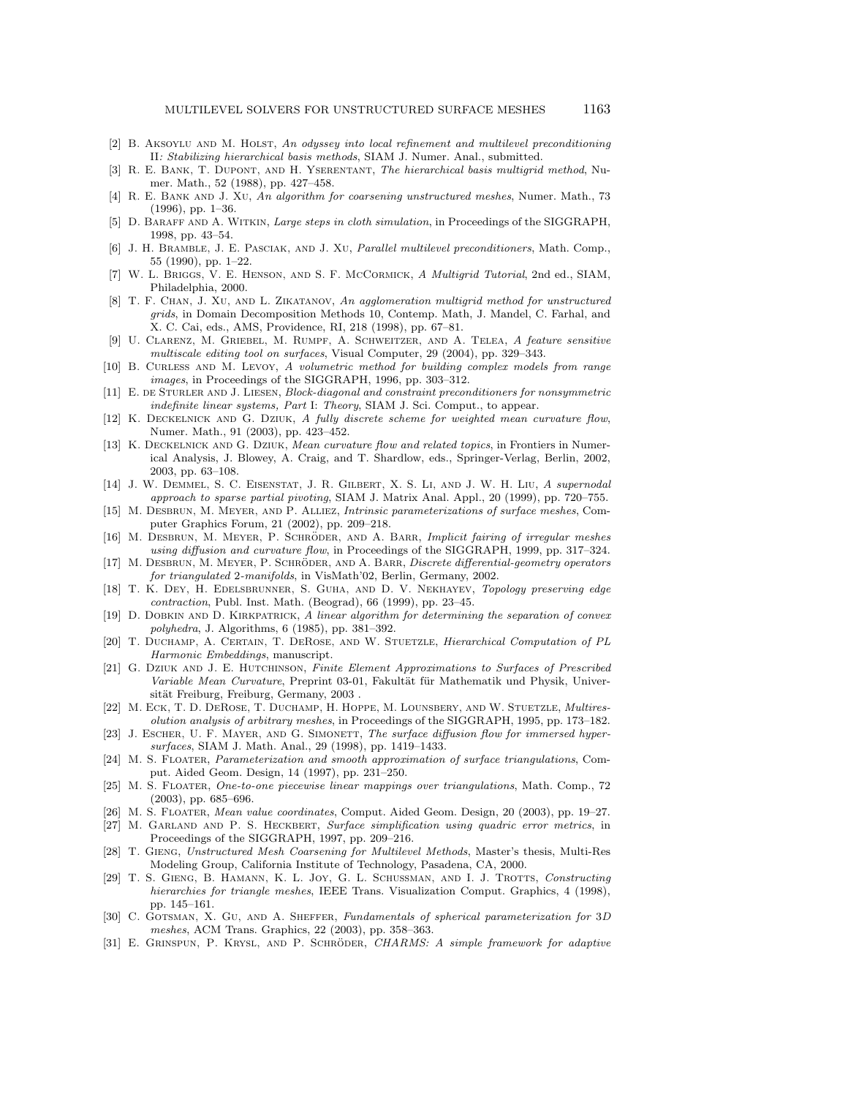- [2] B. AKSOYLU AND M. HOLST, An odyssey into local refinement and multilevel preconditioning II: Stabilizing hierarchical basis methods, SIAM J. Numer. Anal., submitted.
- [3] R. E. BANK, T. DUPONT, AND H. YSERENTANT, The hierarchical basis multigrid method, Numer. Math., 52 (1988), pp. 427–458.
- [4] R. E. BANK AND J. XU, An algorithm for coarsening unstructured meshes, Numer. Math., 73  $(1996)$ , pp. 1–36.
- [5] D. BARAFF AND A. WITKIN, Large steps in cloth simulation, in Proceedings of the SIGGRAPH, 1998, pp. 43–54.
- [6] J. H. Bramble, J. E. Pasciak, and J. Xu, Parallel multilevel preconditioners, Math. Comp., 55 (1990), pp. 1–22.
- [7] W. L. Briggs, V. E. Henson, and S. F. McCormick, A Multigrid Tutorial, 2nd ed., SIAM, Philadelphia, 2000.
- [8] T. F. Chan, J. Xu, and L. Zikatanov, An agglomeration multigrid method for unstructured grids, in Domain Decomposition Methods 10, Contemp. Math, J. Mandel, C. Farhal, and X. C. Cai, eds., AMS, Providence, RI, 218 (1998), pp. 67–81.
- [9] U. Clarenz, M. Griebel, M. Rumpf, A. Schweitzer, and A. Telea, A feature sensitive multiscale editing tool on surfaces, Visual Computer, 29 (2004), pp. 329–343.
- [10] B. CURLESS AND M. LEVOY, A volumetric method for building complex models from range images, in Proceedings of the SIGGRAPH, 1996, pp. 303–312.
- [11] E. DE STURLER AND J. LIESEN, *Block-diagonal and constraint preconditioners for nonsymmetric* indefinite linear systems, Part I: Theory, SIAM J. Sci. Comput., to appear.
- [12] K. Deckelnick and G. Dziuk, A fully discrete scheme for weighted mean curvature flow, Numer. Math., 91 (2003), pp. 423–452.
- [13] K. DECKELNICK AND G. DZIUK, Mean curvature flow and related topics, in Frontiers in Numerical Analysis, J. Blowey, A. Craig, and T. Shardlow, eds., Springer-Verlag, Berlin, 2002, 2003, pp. 63–108.
- [14] J. W. Demmel, S. C. Eisenstat, J. R. Gilbert, X. S. Li, and J. W. H. Liu, A supernodal approach to sparse partial pivoting, SIAM J. Matrix Anal. Appl., 20 (1999), pp. 720–755.
- [15] M. DESBRUN, M. MEYER, AND P. ALLIEZ, Intrinsic parameterizations of surface meshes, Computer Graphics Forum, 21 (2002), pp. 209–218.
- [16] M. DESBRUN, M. MEYER, P. SCHRÖDER, AND A. BARR, Implicit fairing of irregular meshes using diffusion and curvature flow, in Proceedings of the SIGGRAPH, 1999, pp. 317–324.
- [17] M. DESBRUN, M. MEYER, P. SCHRÖDER, AND A. BARR, Discrete differential-geometry operators for triangulated 2-manifolds, in VisMath'02, Berlin, Germany, 2002.
- [18] T. K. Dey, H. Edelsbrunner, S. Guha, and D. V. Nekhayev, Topology preserving edge contraction, Publ. Inst. Math. (Beograd), 66 (1999), pp. 23–45.
- [19] D. DOBKIN AND D. KIRKPATRICK, A linear algorithm for determining the separation of convex polyhedra, J. Algorithms, 6 (1985), pp. 381–392.
- [20] T. Duchamp, A. Certain, T. DeRose, and W. Stuetzle, Hierarchical Computation of PL Harmonic Embeddings, manuscript.
- [21] G. Dziuk and J. E. Hutchinson, Finite Element Approximations to Surfaces of Prescribed Variable Mean Curvature, Preprint 03-01, Fakultät für Mathematik und Physik, Universität Freiburg, Freiburg, Germany, 2003.
- [22] M. Eck, T. D. DeRose, T. Duchamp, H. Hoppe, M. Lounsbery, and W. Stuetzle, Multiresolution analysis of arbitrary meshes, in Proceedings of the SIGGRAPH, 1995, pp. 173–182.
- [23] J. ESCHER, U. F. MAYER, AND G. SIMONETT, The surface diffusion flow for immersed hypersurfaces, SIAM J. Math. Anal., 29 (1998), pp. 1419–1433.
- [24] M. S. FLOATER, Parameterization and smooth approximation of surface triangulations, Comput. Aided Geom. Design, 14 (1997), pp. 231–250.
- [25] M. S. FLOATER, One-to-one piecewise linear mappings over triangulations, Math. Comp., 72 (2003), pp. 685–696.
- [26] M. S. FLOATER, Mean value coordinates, Comput. Aided Geom. Design, 20 (2003), pp. 19–27.
- [27] M. GARLAND AND P. S. HECKBERT, Surface simplification using quadric error metrics, in Proceedings of the SIGGRAPH, 1997, pp. 209–216.
- [28] T. Gieng, Unstructured Mesh Coarsening for Multilevel Methods, Master's thesis, Multi-Res Modeling Group, California Institute of Technology, Pasadena, CA, 2000.
- [29] T. S. GIENG, B. HAMANN, K. L. JOY, G. L. SCHUSSMAN, AND I. J. TROTTS, Constructing hierarchies for triangle meshes, IEEE Trans. Visualization Comput. Graphics, 4 (1998), pp. 145–161.
- [30] C. GOTSMAN, X. GU, AND A. SHEFFER, Fundamentals of spherical parameterization for 3D meshes, ACM Trans. Graphics, 22 (2003), pp. 358–363.
- [31] E. GRINSPUN, P. KRYSL, AND P. SCHRÖDER, CHARMS: A simple framework for adaptive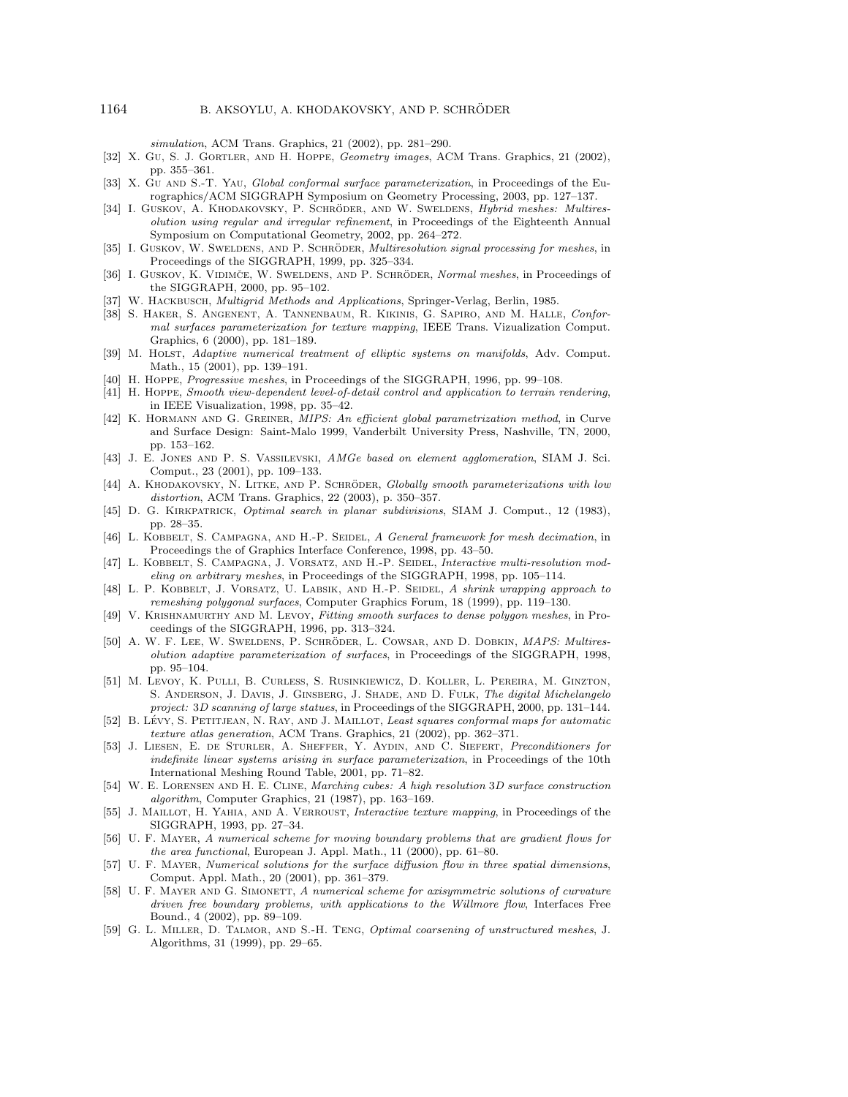simulation, ACM Trans. Graphics, 21 (2002), pp. 281–290.

- [32] X. Gu, S. J. Gortler, and H. Hoppe, Geometry images, ACM Trans. Graphics, 21 (2002), pp. 355–361.
- [33] X. Gu AND S.-T. YAU, Global conformal surface parameterization, in Proceedings of the Eurographics/ACM SIGGRAPH Symposium on Geometry Processing, 2003, pp. 127–137.
- [34] I. GUSKOV, A. KHODAKOVSKY, P. SCHRÖDER, AND W. SWELDENS, *Hybrid meshes: Multires*olution using regular and irregular refinement, in Proceedings of the Eighteenth Annual Symposium on Computational Geometry, 2002, pp. 264–272.
- [35] I. GUSKOV, W. SWELDENS, AND P. SCHRÖDER, *Multiresolution signal processing for meshes*, in Proceedings of the SIGGRAPH, 1999, pp. 325–334.
- [36] I. GUSKOV, K. VIDIMCE, W. SWELDENS, AND P. SCHRÖDER, Normal meshes, in Proceedings of the SIGGRAPH, 2000, pp. 95–102.
- [37] W. HACKBUSCH, *Multigrid Methods and Applications*, Springer-Verlag, Berlin, 1985.
- [38] S. Haker, S. Angenent, A. Tannenbaum, R. Kikinis, G. Sapiro, and M. Halle, Conformal surfaces parameterization for texture mapping, IEEE Trans. Vizualization Comput. Graphics, 6 (2000), pp. 181–189.
- [39] M. Holst, Adaptive numerical treatment of elliptic systems on manifolds, Adv. Comput. Math., 15 (2001), pp. 139–191.
- [40] H. Hoppe, *Progressive meshes*, in Proceedings of the SIGGRAPH, 1996, pp. 99–108.
- [41] H. Hoppe, Smooth view-dependent level-of-detail control and application to terrain rendering, in IEEE Visualization, 1998, pp. 35–42.
- [42] K. Hormann and G. Greiner, MIPS: An efficient global parametrization method, in Curve and Surface Design: Saint-Malo 1999, Vanderbilt University Press, Nashville, TN, 2000, pp. 153–162.
- [43] J. E. Jones and P. S. Vassilevski, AMGe based on element agglomeration, SIAM J. Sci. Comput., 23 (2001), pp. 109–133.
- [44] A. KHODAKOVSKY, N. LITKE, AND P. SCHRÖDER, Globally smooth parameterizations with low distortion, ACM Trans. Graphics, 22 (2003), p. 350–357.
- [45] D. G. Kirkpatrick, Optimal search in planar subdivisions, SIAM J. Comput., 12 (1983), pp. 28–35.
- [46] L. KOBBELT, S. CAMPAGNA, AND H.-P. SEIDEL, A General framework for mesh decimation, in Proceedings the of Graphics Interface Conference, 1998, pp. 43–50.
- [47] L. KOBBELT, S. CAMPAGNA, J. VORSATZ, AND H.-P. SEIDEL, Interactive multi-resolution modeling on arbitrary meshes, in Proceedings of the SIGGRAPH, 1998, pp. 105–114.
- [48] L. P. KOBBELT, J. VORSATZ, U. LABSIK, AND H.-P. SEIDEL, A shrink wrapping approach to remeshing polygonal surfaces, Computer Graphics Forum, 18 (1999), pp. 119–130.
- [49] V. Krishnamurthy and M. Levoy, Fitting smooth surfaces to dense polygon meshes, in Proceedings of the SIGGRAPH, 1996, pp. 313–324.
- [50] A. W. F. LEE, W. SWELDENS, P. SCHRÖDER, L. COWSAR, AND D. DOBKIN, MAPS: Multiresolution adaptive parameterization of surfaces, in Proceedings of the SIGGRAPH, 1998, pp. 95–104.
- [51] M. Levoy, K. Pulli, B. Curless, S. Rusinkiewicz, D. Koller, L. Pereira, M. Ginzton, S. Anderson, J. Davis, J. Ginsberg, J. Shade, and D. Fulk, The digital Michelangelo project: 3D scanning of large statues, in Proceedings of the SIGGRAPH, 2000, pp. 131–144.
- [52] B. LÉVY, S. PETITJEAN, N. RAY, AND J. MAILLOT, Least squares conformal maps for automatic texture atlas generation, ACM Trans. Graphics, 21 (2002), pp. 362–371.
- [53] J. Liesen, E. de Sturler, A. Sheffer, Y. Aydin, and C. Siefert, Preconditioners for indefinite linear systems arising in surface parameterization, in Proceedings of the 10th International Meshing Round Table, 2001, pp. 71–82.
- [54] W. E. Lorensen and H. E. Cline, Marching cubes: A high resolution 3D surface construction algorithm, Computer Graphics, 21 (1987), pp. 163–169.
- [55] J. MAILLOT, H. YAHIA, AND A. VERROUST, *Interactive texture mapping*, in Proceedings of the SIGGRAPH, 1993, pp. 27–34.
- [56] U. F. Mayer, A numerical scheme for moving boundary problems that are gradient flows for the area functional, European J. Appl. Math., 11 (2000), pp. 61–80.
- [57] U. F. MAYER, Numerical solutions for the surface diffusion flow in three spatial dimensions, Comput. Appl. Math., 20 (2001), pp. 361–379.
- [58] U. F. MAYER AND G. SIMONETT, A numerical scheme for axisymmetric solutions of curvature driven free boundary problems, with applications to the Willmore flow, Interfaces Free Bound., 4 (2002), pp. 89–109.
- [59] G. L. Miller, D. Talmor, and S.-H. Teng, Optimal coarsening of unstructured meshes, J. Algorithms, 31 (1999), pp. 29–65.